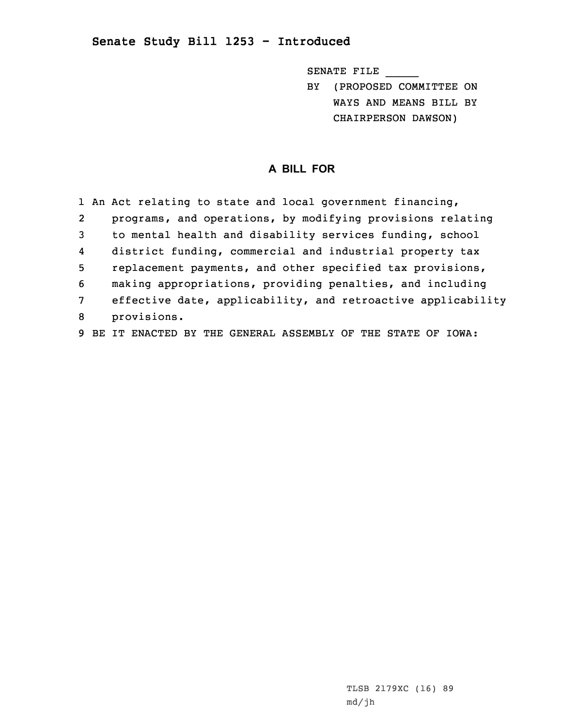## **Senate Study Bill 1253 - Introduced**

SENATE FILE \_\_\_\_\_

BY (PROPOSED COMMITTEE ON WAYS AND MEANS BILL BY CHAIRPERSON DAWSON)

## **A BILL FOR**

|                | 1 An Act relating to state and local government financing,   |
|----------------|--------------------------------------------------------------|
| $\overline{2}$ | programs, and operations, by modifying provisions relating   |
| 3              | to mental health and disability services funding, school     |
| 4              | district funding, commercial and industrial property tax     |
| 5              | replacement payments, and other specified tax provisions,    |
| 6              | making appropriations, providing penalties, and including    |
| $\overline{7}$ | effective date, applicability, and retroactive applicability |
| 8              | provisions.                                                  |
|                |                                                              |

9 BE IT ENACTED BY THE GENERAL ASSEMBLY OF THE STATE OF IOWA:

TLSB 2179XC (16) 89 md/jh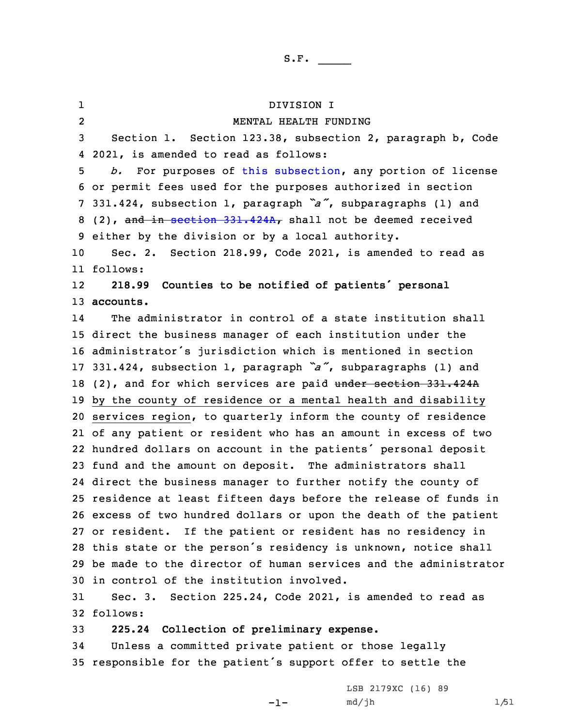1 DIVISION I 2 MENTAL HEALTH FUNDING Section 1. Section 123.38, subsection 2, paragraph b, Code 2021, is amended to read as follows: *b.* For purposes of this [subsection](https://www.legis.iowa.gov/docs/code/2021/123.38.pdf), any portion of license or permit fees used for the purposes authorized in section 331.424, subsection 1, paragraph *"a"*, subparagraphs (1) and 8 (2), and in section [331.424A](https://www.legis.iowa.gov/docs/code/2021/331.424A.pdf), shall not be deemed received either by the division or by <sup>a</sup> local authority. Sec. 2. Section 218.99, Code 2021, is amended to read as 11 follows: 12 **218.99 Counties to be notified of patients' personal accounts.** 14 The administrator in control of <sup>a</sup> state institution shall direct the business manager of each institution under the administrator's jurisdiction which is mentioned in section 331.424, subsection 1, paragraph *"a"*, subparagraphs (1) and 18 (2), and for which services are paid under section 331.424A by the county of residence or <sup>a</sup> mental health and disability services region, to quarterly inform the county of residence of any patient or resident who has an amount in excess of two hundred dollars on account in the patients' personal deposit fund and the amount on deposit. The administrators shall direct the business manager to further notify the county of residence at least fifteen days before the release of funds in excess of two hundred dollars or upon the death of the patient or resident. If the patient or resident has no residency in this state or the person's residency is unknown, notice shall be made to the director of human services and the administrator in control of the institution involved. Sec. 3. Section 225.24, Code 2021, is amended to read as 32 follows: **225.24 Collection of preliminary expense.** Unless <sup>a</sup> committed private patient or those legally

<sup>35</sup> responsible for the patient's support offer to settle the

-1-

LSB 2179XC (16) 89 md/jh 1/51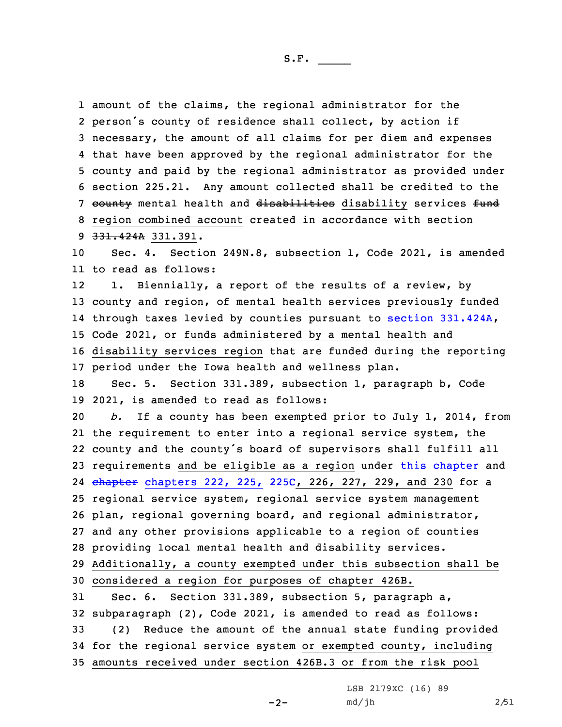amount of the claims, the regional administrator for the person's county of residence shall collect, by action if necessary, the amount of all claims for per diem and expenses that have been approved by the regional administrator for the county and paid by the regional administrator as provided under section 225.21. Any amount collected shall be credited to the 7 county mental health and disabilities disability services fund region combined account created in accordance with section 331.424A 331.391. Sec. 4. Section 249N.8, subsection 1, Code 2021, is amended to read as follows: 12 1. Biennially, <sup>a</sup> report of the results of <sup>a</sup> review, by county and region, of mental health services previously funded through taxes levied by counties pursuant to section [331.424A](https://www.legis.iowa.gov/docs/code/2021/331.424A.pdf), Code 2021, or funds administered by <sup>a</sup> mental health and disability services region that are funded during the reporting period under the Iowa health and wellness plan. Sec. 5. Section 331.389, subsection 1, paragraph b, Code 2021, is amended to read as follows: *b.* If <sup>a</sup> county has been exempted prior to July 1, 2014, from the requirement to enter into <sup>a</sup> regional service system, the county and the county's board of supervisors shall fulfill all requirements and be eligible as <sup>a</sup> region under this [chapter](https://www.legis.iowa.gov/docs/code/2021/331.pdf) and 24 <del>chapter</del> [chapters](https://www.legis.iowa.gov/docs/code/2021/225C.pdf) 222, 225, 225C, 226, 227, 229, and 230 for a regional service system, regional service system management plan, regional governing board, and regional administrator, and any other provisions applicable to <sup>a</sup> region of counties providing local mental health and disability services. Additionally, <sup>a</sup> county exempted under this subsection shall be considered <sup>a</sup> region for purposes of chapter 426B. Sec. 6. Section 331.389, subsection 5, paragraph a, subparagraph (2), Code 2021, is amended to read as follows: (2) Reduce the amount of the annual state funding provided for the regional service system or exempted county, including amounts received under section 426B.3 or from the risk pool

> LSB 2179XC (16) 89 md/jh 2/51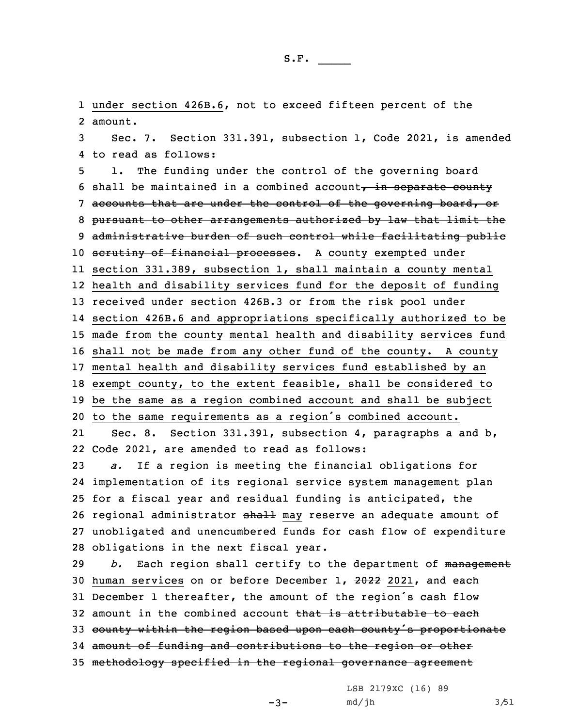1 under section 426B.6, not to exceed fifteen percent of the 2 amount.

3 Sec. 7. Section 331.391, subsection 1, Code 2021, is amended 4 to read as follows:

 1. The funding under the control of the governing board 6 shall be maintained in a combined account, in separate county 7 accounts that are under the control of the governing board, or pursuant to other arrangements authorized by law that limit the administrative burden of such control while facilitating public 10 scrutiny of financial processes. A county exempted under section 331.389, subsection 1, shall maintain <sup>a</sup> county mental health and disability services fund for the deposit of funding received under section 426B.3 or from the risk pool under section 426B.6 and appropriations specifically authorized to be made from the county mental health and disability services fund shall not be made from any other fund of the county. <sup>A</sup> county mental health and disability services fund established by an exempt county, to the extent feasible, shall be considered to be the same as <sup>a</sup> region combined account and shall be subject to the same requirements as <sup>a</sup> region's combined account. 21 Sec. 8. Section 331.391, subsection 4, paragraphs <sup>a</sup> and b, Code 2021, are amended to read as follows: *a.* If <sup>a</sup> region is meeting the financial obligations for implementation of its regional service system management plan for <sup>a</sup> fiscal year and residual funding is anticipated, the

26 regional administrator shall may reserve an adequate amount of 27 unobligated and unencumbered funds for cash flow of expenditure 28 obligations in the next fiscal year.

*b.* Each region shall certify to the department of management human services on or before December 1, 2022 2021, and each December <sup>1</sup> thereafter, the amount of the region's cash flow 32 amount in the combined account that is attributable to each 33 county within the region based upon each county's proportionate amount of funding and contributions to the region or other methodology specified in the regional governance agreement

LSB 2179XC (16) 89

 $-3-$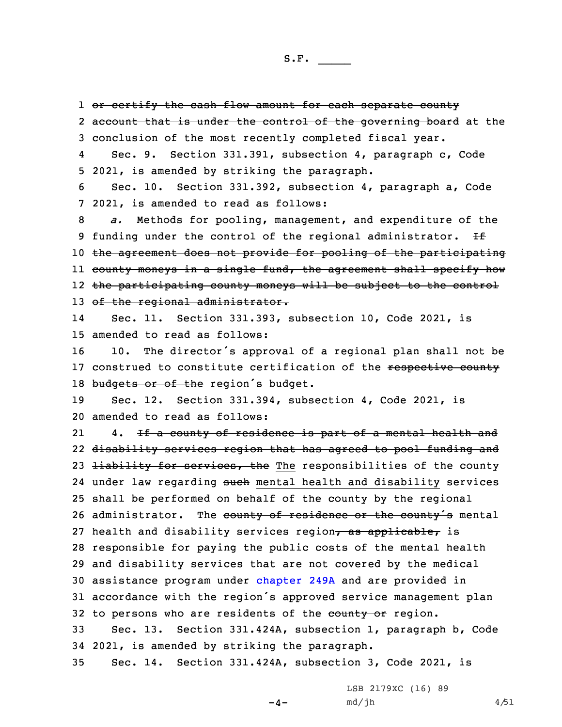1 <del>or certify the cash flow amount for each separate county</del> 2 <del>account that is under the control of the governing board</del> at the 3 conclusion of the most recently completed fiscal year. 4 Sec. 9. Section 331.391, subsection 4, paragraph c, Code 5 2021, is amended by striking the paragraph. 6 Sec. 10. Section 331.392, subsection 4, paragraph a, Code 7 2021, is amended to read as follows: 8 *a.* Methods for pooling, management, and expenditure of the 9 funding under the control of the regional administrator.  $H$ 10 the agreement does not provide for pooling of the participating ll <del>county moneys in a single fund, the agreement shall specify how</del> 12 the participating county moneys will be subject to the control 13 of the regional administrator. 14 Sec. 11. Section 331.393, subsection 10, Code 2021, is 15 amended to read as follows: <sup>16</sup> 10. The director's approval of <sup>a</sup> regional plan shall not be 17 construed to constitute certification of the respective county 18 budgets or of the region's budget. 19 Sec. 12. Section 331.394, subsection 4, Code 2021, is 20 amended to read as follows: 214. If a county of residence is part of a mental health and 22 disability services region that has agreed to pool funding and 23 <del>liability for services, the</del> The responsibilities of the county 24 under law regarding <del>such</del> mental health and disability services 25 shall be performed on behalf of the county by the regional 26 administrator. The county of residence or the county's mental 27 health and disability services region, as applicable, is 28 responsible for paying the public costs of the mental health 29 and disability services that are not covered by the medical 30 assistance program under [chapter](https://www.legis.iowa.gov/docs/code/2021/249A.pdf) 249A and are provided in <sup>31</sup> accordance with the region's approved service management plan 32 to persons who are residents of the eounty or region. 33 Sec. 13. Section 331.424A, subsection 1, paragraph b, Code 34 2021, is amended by striking the paragraph. 35 Sec. 14. Section 331.424A, subsection 3, Code 2021, is

 $-4-$ 

LSB 2179XC (16) 89  $md/jh$  4/51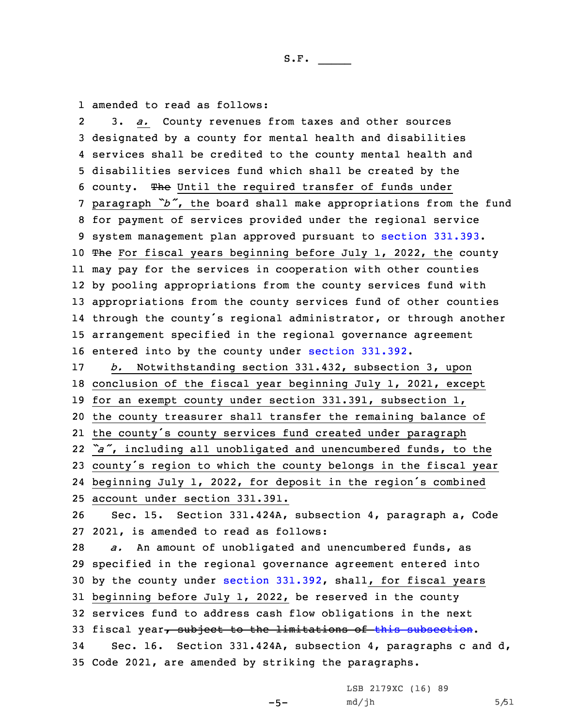1 amended to read as follows:

2 3. *a.* County revenues from taxes and other sources designated by <sup>a</sup> county for mental health and disabilities services shall be credited to the county mental health and disabilities services fund which shall be created by the county. The Until the required transfer of funds under paragraph *"b"*, the board shall make appropriations from the fund for payment of services provided under the regional service system management plan approved pursuant to section [331.393](https://www.legis.iowa.gov/docs/code/2021/331.393.pdf). 10 The For fiscal years beginning before July 1, 2022, the county may pay for the services in cooperation with other counties by pooling appropriations from the county services fund with appropriations from the county services fund of other counties through the county's regional administrator, or through another arrangement specified in the regional governance agreement entered into by the county under section [331.392](https://www.legis.iowa.gov/docs/code/2021/331.392.pdf). *b.* Notwithstanding section 331.432, subsection 3, upon conclusion of the fiscal year beginning July 1, 2021, except for an exempt county under section 331.391, subsection 1, the county treasurer shall transfer the remaining balance of the county's county services fund created under paragraph *"a"*, including all unobligated and unencumbered funds, to the county's region to which the county belongs in the fiscal year beginning July 1, 2022, for deposit in the region's combined account under section 331.391. Sec. 15. Section 331.424A, subsection 4, paragraph a, Code 2021, is amended to read as follows: *a.* An amount of unobligated and unencumbered funds, as specified in the regional governance agreement entered into by the county under section [331.392](https://www.legis.iowa.gov/docs/code/2021/331.392.pdf), shall, for fiscal years beginning before July 1, 2022, be reserved in the county services fund to address cash flow obligations in the next 33 fiscal year, subject to the limitations of this [subsection](https://www.legis.iowa.gov/docs/code/2021/331.424A.pdf). Sec. 16. Section 331.424A, subsection 4, paragraphs <sup>c</sup> and d, Code 2021, are amended by striking the paragraphs.

 $-5-$ 

LSB 2179XC (16) 89 md/jh 5/51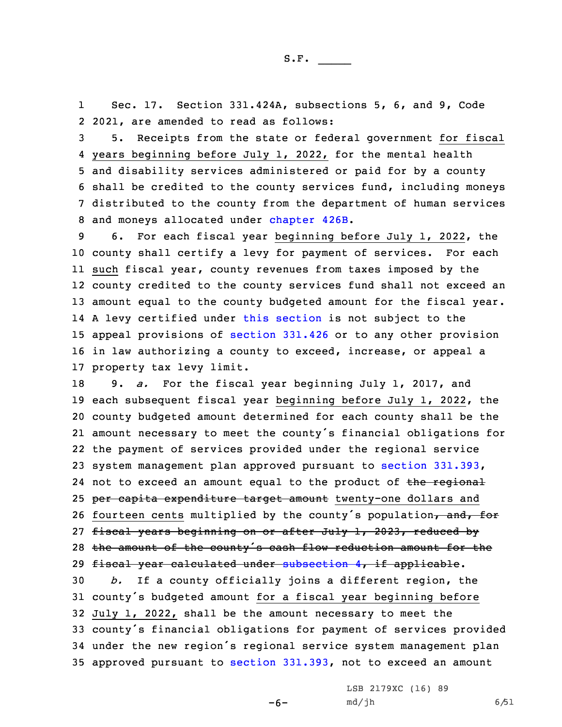1 Sec. 17. Section 331.424A, subsections 5, 6, and 9, Code 2 2021, are amended to read as follows:

 5. Receipts from the state or federal government for fiscal years beginning before July 1, 2022, for the mental health and disability services administered or paid for by <sup>a</sup> county shall be credited to the county services fund, including moneys distributed to the county from the department of human services and moneys allocated under [chapter](https://www.legis.iowa.gov/docs/code/2021/426B.pdf) 426B.

 6. For each fiscal year beginning before July 1, 2022, the county shall certify <sup>a</sup> levy for payment of services. For each such fiscal year, county revenues from taxes imposed by the county credited to the county services fund shall not exceed an 13 amount equal to the county budgeted amount for the fiscal year. <sup>A</sup> levy certified under this [section](https://www.legis.iowa.gov/docs/code/2021/331.424A.pdf) is not subject to the appeal provisions of [section](https://www.legis.iowa.gov/docs/code/2021/331.426.pdf) 331.426 or to any other provision in law authorizing <sup>a</sup> county to exceed, increase, or appeal <sup>a</sup> property tax levy limit.

 9. *a.* For the fiscal year beginning July 1, 2017, and each subsequent fiscal year beginning before July 1, 2022, the county budgeted amount determined for each county shall be the amount necessary to meet the county's financial obligations for the payment of services provided under the regional service system management plan approved pursuant to section [331.393](https://www.legis.iowa.gov/docs/code/2021/331.393.pdf), 24 not to exceed an amount equal to the product of the regional 25 per capita expenditure target amount twenty-one dollars and 26 fourteen cents multiplied by the county's population, and, for 27 fiscal years beginning on or after July 1, 2023, reduced by 28 the amount of the county's cash flow reduction amount for the 29 fiscal year calculated under [subsection](https://www.legis.iowa.gov/docs/code/2021/331.424A.pdf) 4, if applicable. *b.* If <sup>a</sup> county officially joins <sup>a</sup> different region, the county's budgeted amount for <sup>a</sup> fiscal year beginning before July 1, 2022, shall be the amount necessary to meet the county's financial obligations for payment of services provided under the new region's regional service system management plan approved pursuant to section [331.393](https://www.legis.iowa.gov/docs/code/2021/331.393.pdf), not to exceed an amount

 $-6-$ 

LSB 2179XC (16) 89 md/jh 6/51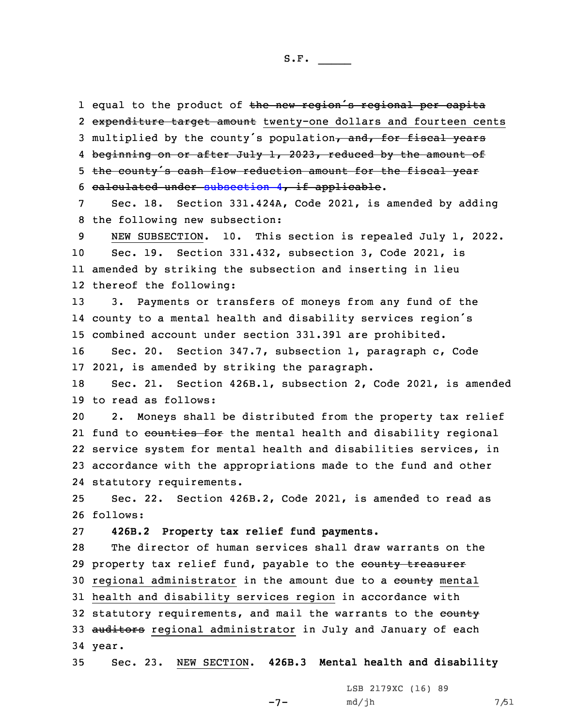1 equal to the product of the new region's regional per capita 2 <del>expenditure target amount</del> twenty-one dollars and fourteen cents 3 multiplied by the county's population, and, for fiscal years 4 <del>beginning on or after July 1, 2023, reduced by the amount of</del> <sup>5</sup> the county's cash flow reduction amount for the fiscal year 6 calculated under [subsection](https://www.legis.iowa.gov/docs/code/2021/331.424A.pdf) 4, if applicable.

7 Sec. 18. Section 331.424A, Code 2021, is amended by adding 8 the following new subsection:

 NEW SUBSECTION. 10. This section is repealed July 1, 2022. Sec. 19. Section 331.432, subsection 3, Code 2021, is amended by striking the subsection and inserting in lieu thereof the following:

13 3. Payments or transfers of moneys from any fund of the 14 county to <sup>a</sup> mental health and disability services region's 15 combined account under section 331.391 are prohibited.

16 Sec. 20. Section 347.7, subsection 1, paragraph c, Code 17 2021, is amended by striking the paragraph.

18 Sec. 21. Section 426B.1, subsection 2, Code 2021, is amended 19 to read as follows:

 2. Moneys shall be distributed from the property tax relief 21 fund to <del>counties for</del> the mental health and disability regional service system for mental health and disabilities services, in accordance with the appropriations made to the fund and other statutory requirements.

25 Sec. 22. Section 426B.2, Code 2021, is amended to read as 26 follows:

27 **426B.2 Property tax relief fund payments.**

28 The director of human services shall draw warrants on the 29 property tax relief fund, payable to the county treasurer 30 regional administrator in the amount due to a county mental 31 health and disability services region in accordance with 32 statutory requirements, and mail the warrants to the eounty 33 auditors regional administrator in July and January of each 34 year.

35 Sec. 23. NEW SECTION. **426B.3 Mental health and disability**

 $-7-$ 

LSB 2179XC (16) 89 md/jh 7/51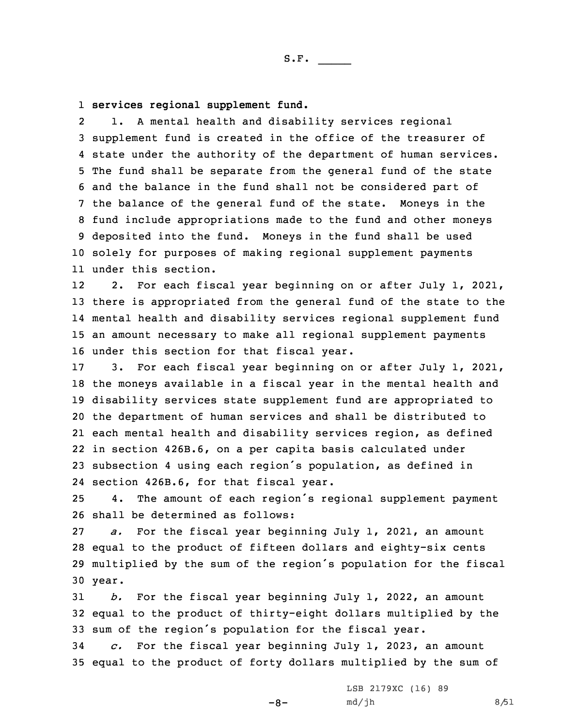1 **services regional supplement fund.**

2 1. <sup>A</sup> mental health and disability services regional supplement fund is created in the office of the treasurer of state under the authority of the department of human services. The fund shall be separate from the general fund of the state and the balance in the fund shall not be considered part of the balance of the general fund of the state. Moneys in the fund include appropriations made to the fund and other moneys deposited into the fund. Moneys in the fund shall be used solely for purposes of making regional supplement payments under this section.

12 2. For each fiscal year beginning on or after July 1, 2021, there is appropriated from the general fund of the state to the mental health and disability services regional supplement fund an amount necessary to make all regional supplement payments under this section for that fiscal year.

 3. For each fiscal year beginning on or after July 1, 2021, the moneys available in <sup>a</sup> fiscal year in the mental health and disability services state supplement fund are appropriated to the department of human services and shall be distributed to each mental health and disability services region, as defined in section 426B.6, on <sup>a</sup> per capita basis calculated under subsection <sup>4</sup> using each region's population, as defined in section 426B.6, for that fiscal year.

<sup>25</sup> 4. The amount of each region's regional supplement payment 26 shall be determined as follows:

 *a.* For the fiscal year beginning July 1, 2021, an amount equal to the product of fifteen dollars and eighty-six cents multiplied by the sum of the region's population for the fiscal 30 year.

31 *b.* For the fiscal year beginning July 1, 2022, an amount 32 equal to the product of thirty-eight dollars multiplied by the <sup>33</sup> sum of the region's population for the fiscal year.

34 *c.* For the fiscal year beginning July 1, 2023, an amount 35 equal to the product of forty dollars multiplied by the sum of

 $-8-$ 

LSB 2179XC (16) 89  $md/jh$  8/51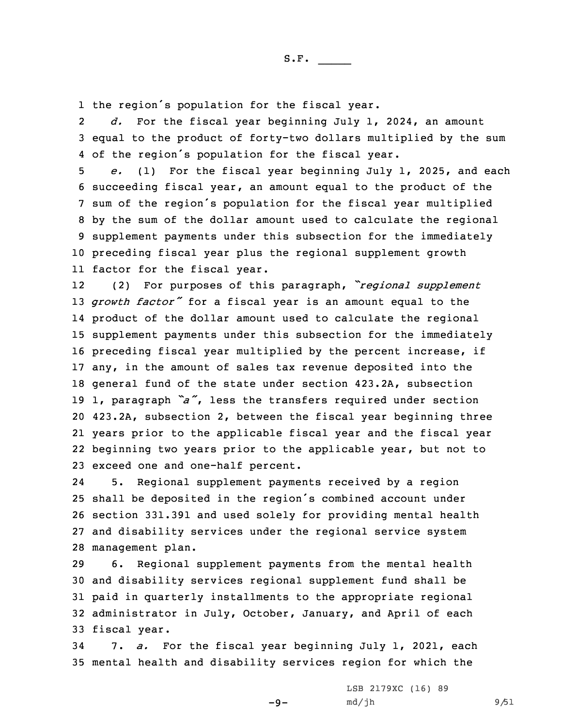1 the region's population for the fiscal year.

2 *d.* For the fiscal year beginning July 1, 2024, an amount 3 equal to the product of forty-two dollars multiplied by the sum 4 of the region's population for the fiscal year.

 *e.* (1) For the fiscal year beginning July 1, 2025, and each succeeding fiscal year, an amount equal to the product of the sum of the region's population for the fiscal year multiplied by the sum of the dollar amount used to calculate the regional supplement payments under this subsection for the immediately preceding fiscal year plus the regional supplement growth factor for the fiscal year.

12 (2) For purposes of this paragraph, *"regional supplement growth factor"* for <sup>a</sup> fiscal year is an amount equal to the product of the dollar amount used to calculate the regional supplement payments under this subsection for the immediately preceding fiscal year multiplied by the percent increase, if any, in the amount of sales tax revenue deposited into the general fund of the state under section 423.2A, subsection 1, paragraph *"a"*, less the transfers required under section 423.2A, subsection 2, between the fiscal year beginning three years prior to the applicable fiscal year and the fiscal year beginning two years prior to the applicable year, but not to exceed one and one-half percent.

24 5. Regional supplement payments received by <sup>a</sup> region shall be deposited in the region's combined account under section 331.391 and used solely for providing mental health and disability services under the regional service system management plan.

 6. Regional supplement payments from the mental health and disability services regional supplement fund shall be paid in quarterly installments to the appropriate regional administrator in July, October, January, and April of each fiscal year.

34 7. *a.* For the fiscal year beginning July 1, 2021, each 35 mental health and disability services region for which the

 $-9-$ 

LSB 2179XC (16) 89 md/jh 9/51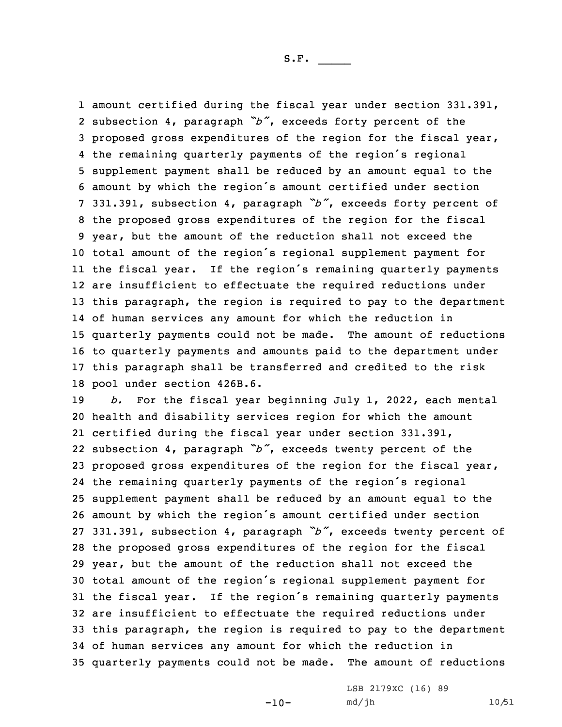amount certified during the fiscal year under section 331.391, subsection 4, paragraph *"b"*, exceeds forty percent of the proposed gross expenditures of the region for the fiscal year, the remaining quarterly payments of the region's regional supplement payment shall be reduced by an amount equal to the amount by which the region's amount certified under section 331.391, subsection 4, paragraph *"b"*, exceeds forty percent of the proposed gross expenditures of the region for the fiscal year, but the amount of the reduction shall not exceed the total amount of the region's regional supplement payment for the fiscal year. If the region's remaining quarterly payments are insufficient to effectuate the required reductions under this paragraph, the region is required to pay to the department of human services any amount for which the reduction in quarterly payments could not be made. The amount of reductions to quarterly payments and amounts paid to the department under this paragraph shall be transferred and credited to the risk pool under section 426B.6.

 *b.* For the fiscal year beginning July 1, 2022, each mental health and disability services region for which the amount certified during the fiscal year under section 331.391, subsection 4, paragraph *"b"*, exceeds twenty percent of the proposed gross expenditures of the region for the fiscal year, the remaining quarterly payments of the region's regional supplement payment shall be reduced by an amount equal to the amount by which the region's amount certified under section 331.391, subsection 4, paragraph *"b"*, exceeds twenty percent of the proposed gross expenditures of the region for the fiscal year, but the amount of the reduction shall not exceed the total amount of the region's regional supplement payment for the fiscal year. If the region's remaining quarterly payments are insufficient to effectuate the required reductions under this paragraph, the region is required to pay to the department of human services any amount for which the reduction in quarterly payments could not be made. The amount of reductions

 $-10-$ 

LSB 2179XC (16) 89 md/jh 10/51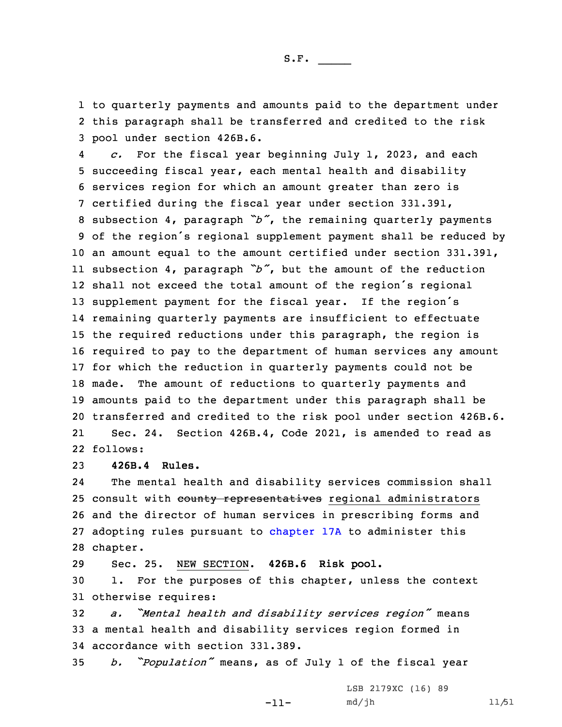1 to quarterly payments and amounts paid to the department under 2 this paragraph shall be transferred and credited to the risk 3 pool under section 426B.6.

4 *c.* For the fiscal year beginning July 1, 2023, and each succeeding fiscal year, each mental health and disability services region for which an amount greater than zero is certified during the fiscal year under section 331.391, subsection 4, paragraph *"b"*, the remaining quarterly payments of the region's regional supplement payment shall be reduced by an amount equal to the amount certified under section 331.391, subsection 4, paragraph *"b"*, but the amount of the reduction shall not exceed the total amount of the region's regional supplement payment for the fiscal year. If the region's remaining quarterly payments are insufficient to effectuate the required reductions under this paragraph, the region is required to pay to the department of human services any amount for which the reduction in quarterly payments could not be made. The amount of reductions to quarterly payments and amounts paid to the department under this paragraph shall be transferred and credited to the risk pool under section 426B.6. 21 Sec. 24. Section 426B.4, Code 2021, is amended to read as 22 follows:

23 **426B.4 Rules.**

24 The mental health and disability services commission shall 25 consult with county representatives regional administrators 26 and the director of human services in prescribing forms and 27 adopting rules pursuant to [chapter](https://www.legis.iowa.gov/docs/code/2021/17A.pdf) 17A to administer this 28 chapter.

29 Sec. 25. NEW SECTION. **426B.6 Risk pool.**

30 1. For the purposes of this chapter, unless the context 31 otherwise requires:

<sup>32</sup> *a. "Mental health and disability services region"* means 33 <sup>a</sup> mental health and disability services region formed in 34 accordance with section 331.389.

<sup>35</sup> *b. "Population"* means, as of July <sup>1</sup> of the fiscal year

-11-

LSB 2179XC (16) 89 md/jh 11/51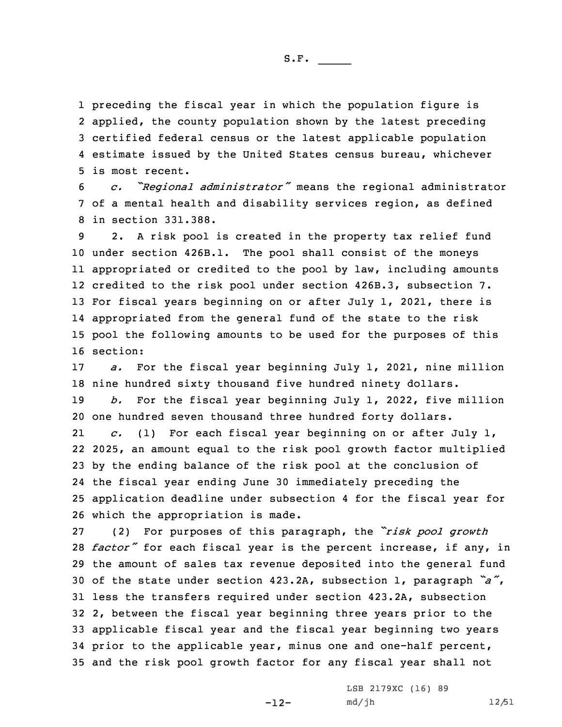preceding the fiscal year in which the population figure is applied, the county population shown by the latest preceding certified federal census or the latest applicable population estimate issued by the United States census bureau, whichever is most recent.

<sup>6</sup> *c. "Regional administrator"* means the regional administrator 7 of <sup>a</sup> mental health and disability services region, as defined 8 in section 331.388.

 2. <sup>A</sup> risk pool is created in the property tax relief fund under section 426B.1. The pool shall consist of the moneys appropriated or credited to the pool by law, including amounts credited to the risk pool under section 426B.3, subsection 7. For fiscal years beginning on or after July 1, 2021, there is appropriated from the general fund of the state to the risk pool the following amounts to be used for the purposes of this 16 section:

17 *a.* For the fiscal year beginning July 1, 2021, nine million 18 nine hundred sixty thousand five hundred ninety dollars.

19 *b.* For the fiscal year beginning July 1, 2022, five million 20 one hundred seven thousand three hundred forty dollars.

21 *c.* (1) For each fiscal year beginning on or after July 1, 2025, an amount equal to the risk pool growth factor multiplied by the ending balance of the risk pool at the conclusion of the fiscal year ending June 30 immediately preceding the application deadline under subsection 4 for the fiscal year for which the appropriation is made.

 (2) For purposes of this paragraph, the *"risk pool growth factor"* for each fiscal year is the percent increase, if any, in the amount of sales tax revenue deposited into the general fund of the state under section 423.2A, subsection 1, paragraph *"a"*, less the transfers required under section 423.2A, subsection 2, between the fiscal year beginning three years prior to the applicable fiscal year and the fiscal year beginning two years prior to the applicable year, minus one and one-half percent, and the risk pool growth factor for any fiscal year shall not

-12-

LSB 2179XC (16) 89 md/jh 12/51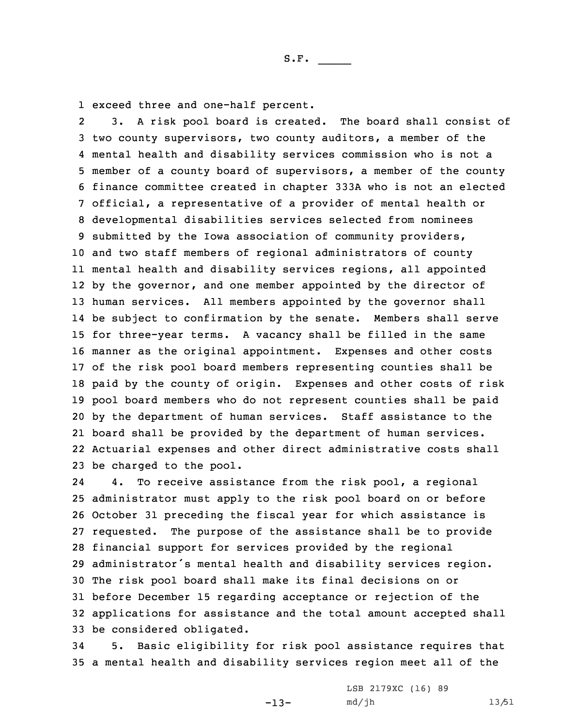1 exceed three and one-half percent.

2 3. <sup>A</sup> risk pool board is created. The board shall consist of two county supervisors, two county auditors, <sup>a</sup> member of the mental health and disability services commission who is not <sup>a</sup> member of <sup>a</sup> county board of supervisors, <sup>a</sup> member of the county finance committee created in chapter 333A who is not an elected official, <sup>a</sup> representative of <sup>a</sup> provider of mental health or developmental disabilities services selected from nominees submitted by the Iowa association of community providers, and two staff members of regional administrators of county mental health and disability services regions, all appointed by the governor, and one member appointed by the director of human services. All members appointed by the governor shall be subject to confirmation by the senate. Members shall serve for three-year terms. <sup>A</sup> vacancy shall be filled in the same manner as the original appointment. Expenses and other costs of the risk pool board members representing counties shall be paid by the county of origin. Expenses and other costs of risk pool board members who do not represent counties shall be paid by the department of human services. Staff assistance to the board shall be provided by the department of human services. Actuarial expenses and other direct administrative costs shall be charged to the pool.

24 4. To receive assistance from the risk pool, <sup>a</sup> regional administrator must apply to the risk pool board on or before October 31 preceding the fiscal year for which assistance is requested. The purpose of the assistance shall be to provide financial support for services provided by the regional administrator's mental health and disability services region. The risk pool board shall make its final decisions on or before December 15 regarding acceptance or rejection of the applications for assistance and the total amount accepted shall be considered obligated.

34 5. Basic eligibility for risk pool assistance requires that 35 <sup>a</sup> mental health and disability services region meet all of the

-13-

LSB 2179XC (16) 89 md/jh 13/51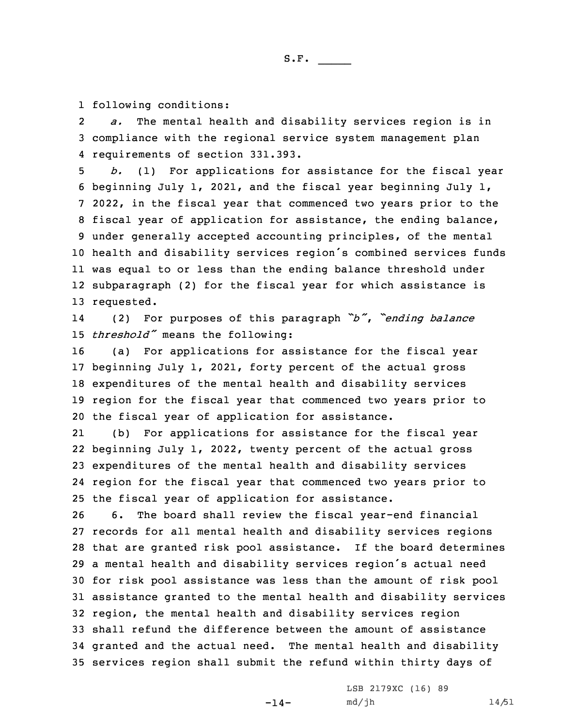1 following conditions:

2 *a.* The mental health and disability services region is in 3 compliance with the regional service system management plan 4 requirements of section 331.393.

 *b.* (1) For applications for assistance for the fiscal year beginning July 1, 2021, and the fiscal year beginning July 1, 2022, in the fiscal year that commenced two years prior to the fiscal year of application for assistance, the ending balance, under generally accepted accounting principles, of the mental health and disability services region's combined services funds was equal to or less than the ending balance threshold under subparagraph (2) for the fiscal year for which assistance is requested.

14 (2) For purposes of this paragraph *"b"*, *"ending balance* <sup>15</sup> *threshold"* means the following:

 (a) For applications for assistance for the fiscal year beginning July 1, 2021, forty percent of the actual gross expenditures of the mental health and disability services region for the fiscal year that commenced two years prior to the fiscal year of application for assistance.

21 (b) For applications for assistance for the fiscal year beginning July 1, 2022, twenty percent of the actual gross expenditures of the mental health and disability services region for the fiscal year that commenced two years prior to the fiscal year of application for assistance.

 6. The board shall review the fiscal year-end financial records for all mental health and disability services regions that are granted risk pool assistance. If the board determines <sup>a</sup> mental health and disability services region's actual need for risk pool assistance was less than the amount of risk pool assistance granted to the mental health and disability services region, the mental health and disability services region shall refund the difference between the amount of assistance granted and the actual need. The mental health and disability services region shall submit the refund within thirty days of

 $-14-$ 

LSB 2179XC (16) 89 md/jh 14/51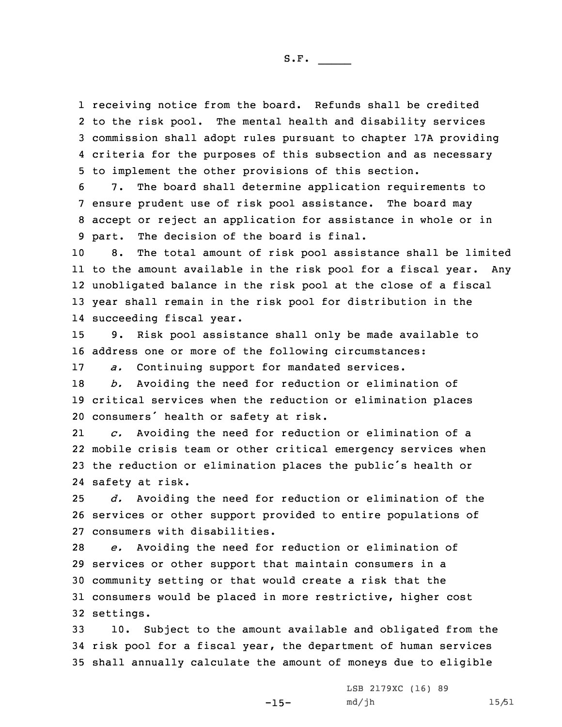receiving notice from the board. Refunds shall be credited to the risk pool. The mental health and disability services commission shall adopt rules pursuant to chapter 17A providing criteria for the purposes of this subsection and as necessary to implement the other provisions of this section.

 7. The board shall determine application requirements to ensure prudent use of risk pool assistance. The board may accept or reject an application for assistance in whole or in part. The decision of the board is final.

 8. The total amount of risk pool assistance shall be limited to the amount available in the risk pool for <sup>a</sup> fiscal year. Any unobligated balance in the risk pool at the close of <sup>a</sup> fiscal year shall remain in the risk pool for distribution in the succeeding fiscal year.

15 9. Risk pool assistance shall only be made available to 16 address one or more of the following circumstances:

17 *a.* Continuing support for mandated services.

18 *b.* Avoiding the need for reduction or elimination of 19 critical services when the reduction or elimination places <sup>20</sup> consumers' health or safety at risk.

21 *c.* Avoiding the need for reduction or elimination of <sup>a</sup> 22 mobile crisis team or other critical emergency services when <sup>23</sup> the reduction or elimination places the public's health or 24 safety at risk.

25 *d.* Avoiding the need for reduction or elimination of the 26 services or other support provided to entire populations of 27 consumers with disabilities.

 *e.* Avoiding the need for reduction or elimination of services or other support that maintain consumers in <sup>a</sup> community setting or that would create <sup>a</sup> risk that the consumers would be placed in more restrictive, higher cost settings.

33 10. Subject to the amount available and obligated from the 34 risk pool for <sup>a</sup> fiscal year, the department of human services 35 shall annually calculate the amount of moneys due to eligible

-15-

LSB 2179XC (16) 89 md/jh 15/51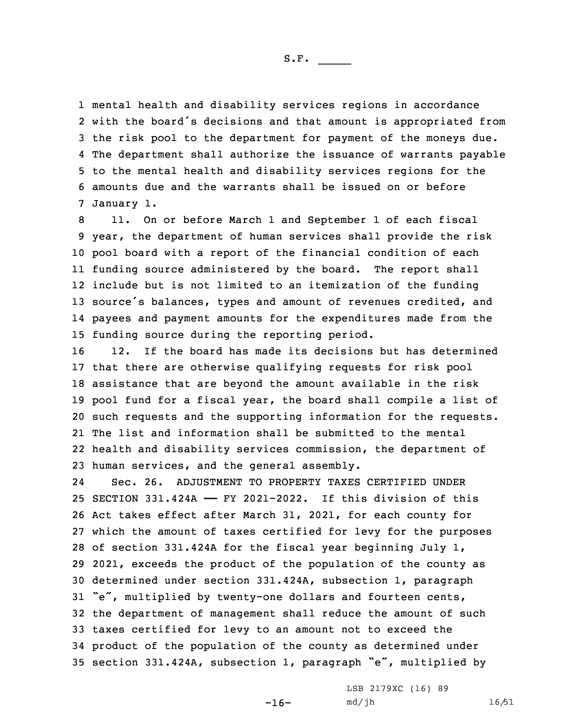mental health and disability services regions in accordance with the board's decisions and that amount is appropriated from the risk pool to the department for payment of the moneys due. The department shall authorize the issuance of warrants payable to the mental health and disability services regions for the amounts due and the warrants shall be issued on or before January 1.

 11. On or before March 1 and September 1 of each fiscal year, the department of human services shall provide the risk pool board with <sup>a</sup> report of the financial condition of each funding source administered by the board. The report shall include but is not limited to an itemization of the funding 13 source's balances, types and amount of revenues credited, and payees and payment amounts for the expenditures made from the funding source during the reporting period.

 12. If the board has made its decisions but has determined that there are otherwise qualifying requests for risk pool assistance that are beyond the amount available in the risk pool fund for <sup>a</sup> fiscal year, the board shall compile <sup>a</sup> list of such requests and the supporting information for the requests. The list and information shall be submitted to the mental health and disability services commission, the department of human services, and the general assembly.

24 Sec. 26. ADJUSTMENT TO PROPERTY TAXES CERTIFIED UNDER SECTION 331.424A —— FY 2021-2022. If this division of this Act takes effect after March 31, 2021, for each county for which the amount of taxes certified for levy for the purposes of section 331.424A for the fiscal year beginning July 1, 2021, exceeds the product of the population of the county as determined under section 331.424A, subsection 1, paragraph "e", multiplied by twenty-one dollars and fourteen cents, the department of management shall reduce the amount of such taxes certified for levy to an amount not to exceed the product of the population of the county as determined under section 331.424A, subsection 1, paragraph "e", multiplied by

-16-

LSB 2179XC (16) 89 md/jh 16/51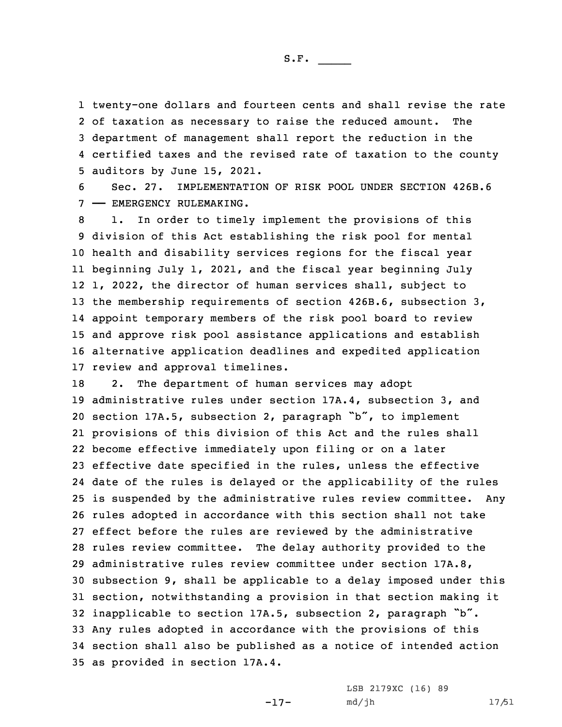twenty-one dollars and fourteen cents and shall revise the rate of taxation as necessary to raise the reduced amount. The department of management shall report the reduction in the certified taxes and the revised rate of taxation to the county auditors by June 15, 2021.

6 Sec. 27. IMPLEMENTATION OF RISK POOL UNDER SECTION 426B.6 7 —— EMERGENCY RULEMAKING.

 1. In order to timely implement the provisions of this division of this Act establishing the risk pool for mental health and disability services regions for the fiscal year beginning July 1, 2021, and the fiscal year beginning July 1, 2022, the director of human services shall, subject to the membership requirements of section 426B.6, subsection 3, appoint temporary members of the risk pool board to review and approve risk pool assistance applications and establish alternative application deadlines and expedited application review and approval timelines.

18 2. The department of human services may adopt administrative rules under section 17A.4, subsection 3, and section 17A.5, subsection 2, paragraph "b", to implement provisions of this division of this Act and the rules shall become effective immediately upon filing or on <sup>a</sup> later effective date specified in the rules, unless the effective date of the rules is delayed or the applicability of the rules is suspended by the administrative rules review committee. Any rules adopted in accordance with this section shall not take effect before the rules are reviewed by the administrative rules review committee. The delay authority provided to the administrative rules review committee under section 17A.8, subsection 9, shall be applicable to <sup>a</sup> delay imposed under this section, notwithstanding <sup>a</sup> provision in that section making it inapplicable to section 17A.5, subsection 2, paragraph "b". Any rules adopted in accordance with the provisions of this section shall also be published as <sup>a</sup> notice of intended action as provided in section 17A.4.

-17-

LSB 2179XC (16) 89 md/jh 17/51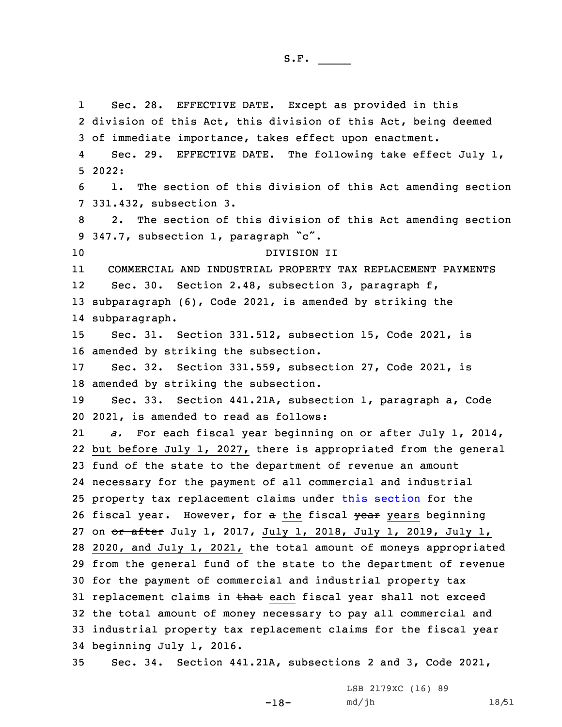1 Sec. 28. EFFECTIVE DATE. Except as provided in this division of this Act, this division of this Act, being deemed of immediate importance, takes effect upon enactment. 4 Sec. 29. EFFECTIVE DATE. The following take effect July 1, 5 2022: 1. The section of this division of this Act amending section 331.432, subsection 3. 2. The section of this division of this Act amending section 347.7, subsection 1, paragraph "c". DIVISION II 11 COMMERCIAL AND INDUSTRIAL PROPERTY TAX REPLACEMENT PAYMENTS 12 Sec. 30. Section 2.48, subsection 3, paragraph f, subparagraph (6), Code 2021, is amended by striking the subparagraph. Sec. 31. Section 331.512, subsection 15, Code 2021, is amended by striking the subsection. Sec. 32. Section 331.559, subsection 27, Code 2021, is amended by striking the subsection. Sec. 33. Section 441.21A, subsection 1, paragraph a, Code 2021, is amended to read as follows: 21 *a.* For each fiscal year beginning on or after July 1, 2014, but before July 1, 2027, there is appropriated from the general fund of the state to the department of revenue an amount necessary for the payment of all commercial and industrial property tax replacement claims under this [section](https://www.legis.iowa.gov/docs/code/2021/441.21A.pdf) for the 26 fiscal year. However, for a the fiscal year years beginning 27 on or after July 1, 2017, July 1, 2018, July 1, 2019, July 1, 2020, and July 1, 2021, the total amount of moneys appropriated from the general fund of the state to the department of revenue for the payment of commercial and industrial property tax 31 replacement claims in that each fiscal year shall not exceed the total amount of money necessary to pay all commercial and industrial property tax replacement claims for the fiscal year beginning July 1, 2016. Sec. 34. Section 441.21A, subsections 2 and 3, Code 2021,

-18-

LSB 2179XC (16) 89 md/jh 18/51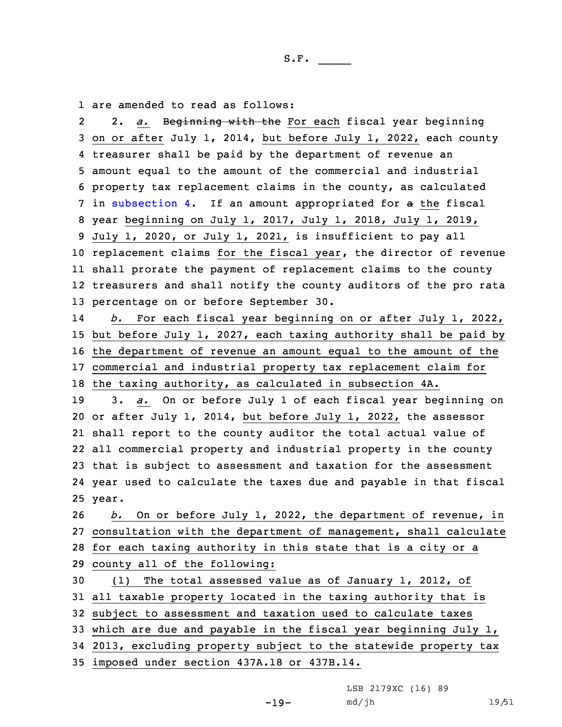1 are amended to read as follows:

2 2. *a.* Beginning with the For each fiscal year beginning on or after July 1, 2014, but before July 1, 2022, each county treasurer shall be paid by the department of revenue an amount equal to the amount of the commercial and industrial property tax replacement claims in the county, as calculated in [subsection](https://www.legis.iowa.gov/docs/code/2021/441.21A.pdf) 4. If an amount appropriated for <sup>a</sup> the fiscal year beginning on July 1, 2017, July 1, 2018, July 1, 2019, July 1, 2020, or July 1, 2021, is insufficient to pay all replacement claims for the fiscal year, the director of revenue shall prorate the payment of replacement claims to the county treasurers and shall notify the county auditors of the pro rata percentage on or before September 30. 14 *b.* For each fiscal year beginning on or after July 1, 2022, but before July 1, 2027, each taxing authority shall be paid by the department of revenue an amount equal to the amount of the commercial and industrial property tax replacement claim for the taxing authority, as calculated in subsection 4A. 3. *a.* On or before July 1 of each fiscal year beginning on or after July 1, 2014, but before July 1, 2022, the assessor shall report to the county auditor the total actual value of all commercial property and industrial property in the county that is subject to assessment and taxation for the assessment year used to calculate the taxes due and payable in that fiscal 25 year. *b.* On or before July 1, 2022, the department of revenue, in consultation with the department of management, shall calculate for each taxing authority in this state that is <sup>a</sup> city or <sup>a</sup> county all of the following: (1) The total assessed value as of January 1, 2012, of all taxable property located in the taxing authority that is subject to assessment and taxation used to calculate taxes which are due and payable in the fiscal year beginning July 1, 2013, excluding property subject to the statewide property tax imposed under section 437A.18 or 437B.14.

LSB 2179XC (16) 89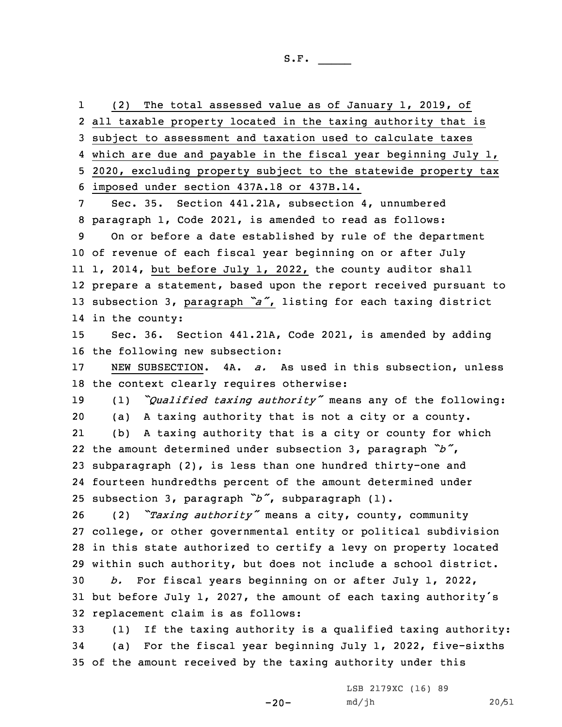1 (2) The total assessed value as of January 1, 2019, of all taxable property located in the taxing authority that is subject to assessment and taxation used to calculate taxes which are due and payable in the fiscal year beginning July 1, 2020, excluding property subject to the statewide property tax imposed under section 437A.18 or 437B.14. Sec. 35. Section 441.21A, subsection 4, unnumbered paragraph 1, Code 2021, is amended to read as follows: On or before <sup>a</sup> date established by rule of the department of revenue of each fiscal year beginning on or after July 1, 2014, but before July 1, 2022, the county auditor shall prepare <sup>a</sup> statement, based upon the report received pursuant to subsection 3, paragraph *"a"*, listing for each taxing district in the county: Sec. 36. Section 441.21A, Code 2021, is amended by adding the following new subsection: NEW SUBSECTION. 4A. *a.* As used in this subsection, unless the context clearly requires otherwise: (1) *"Qualified taxing authority"* means any of the following: (a) <sup>A</sup> taxing authority that is not <sup>a</sup> city or <sup>a</sup> county. 21 (b) <sup>A</sup> taxing authority that is <sup>a</sup> city or county for which the amount determined under subsection 3, paragraph *"b"*, subparagraph (2), is less than one hundred thirty-one and fourteen hundredths percent of the amount determined under subsection 3, paragraph *"b"*, subparagraph (1). (2) *"Taxing authority"* means <sup>a</sup> city, county, community college, or other governmental entity or political subdivision in this state authorized to certify <sup>a</sup> levy on property located within such authority, but does not include <sup>a</sup> school district. *b.* For fiscal years beginning on or after July 1, 2022, but before July 1, 2027, the amount of each taxing authority's replacement claim is as follows: (1) If the taxing authority is <sup>a</sup> qualified taxing authority: (a) For the fiscal year beginning July 1, 2022, five-sixths of the amount received by the taxing authority under this

 $-20-$ 

LSB 2179XC (16) 89 md/jh 20/51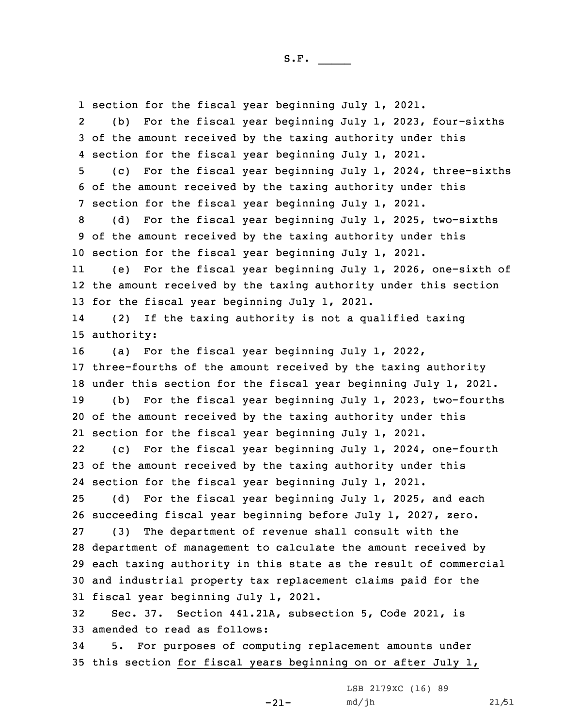section for the fiscal year beginning July 1, 2021. 2 (b) For the fiscal year beginning July 1, 2023, four-sixths of the amount received by the taxing authority under this section for the fiscal year beginning July 1, 2021. (c) For the fiscal year beginning July 1, 2024, three-sixths of the amount received by the taxing authority under this section for the fiscal year beginning July 1, 2021. (d) For the fiscal year beginning July 1, 2025, two-sixths of the amount received by the taxing authority under this section for the fiscal year beginning July 1, 2021. 11 (e) For the fiscal year beginning July 1, 2026, one-sixth of the amount received by the taxing authority under this section for the fiscal year beginning July 1, 2021. 14 (2) If the taxing authority is not <sup>a</sup> qualified taxing authority: (a) For the fiscal year beginning July 1, 2022, three-fourths of the amount received by the taxing authority under this section for the fiscal year beginning July 1, 2021. (b) For the fiscal year beginning July 1, 2023, two-fourths of the amount received by the taxing authority under this section for the fiscal year beginning July 1, 2021. 22 (c) For the fiscal year beginning July 1, 2024, one-fourth of the amount received by the taxing authority under this section for the fiscal year beginning July 1, 2021. (d) For the fiscal year beginning July 1, 2025, and each succeeding fiscal year beginning before July 1, 2027, zero. (3) The department of revenue shall consult with the department of management to calculate the amount received by each taxing authority in this state as the result of commercial and industrial property tax replacement claims paid for the fiscal year beginning July 1, 2021. Sec. 37. Section 441.21A, subsection 5, Code 2021, is amended to read as follows: 5. For purposes of computing replacement amounts under this section for fiscal years beginning on or after July 1,

 $-21-$ 

LSB 2179XC (16) 89 md/jh 21/51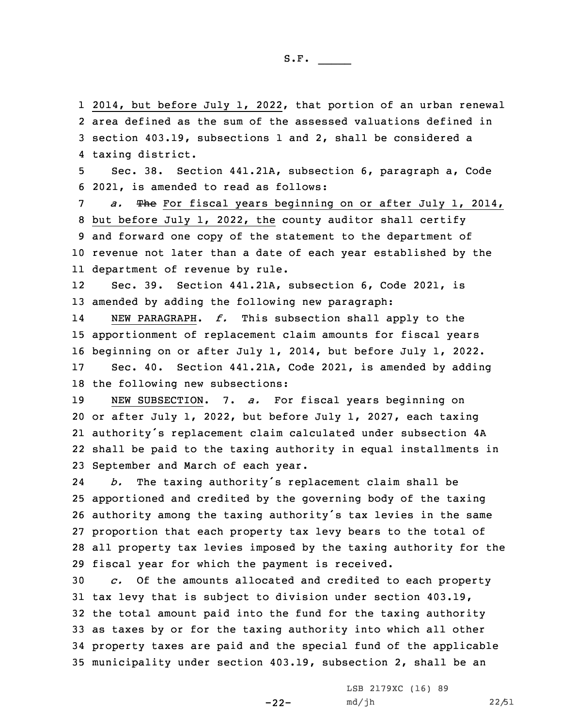2014, but before July 1, 2022, that portion of an urban renewal area defined as the sum of the assessed valuations defined in section 403.19, subsections 1 and 2, shall be considered <sup>a</sup> taxing district. Sec. 38. Section 441.21A, subsection 6, paragraph a, Code 2021, is amended to read as follows: *a.* The For fiscal years beginning on or after July 1, 2014, but before July 1, 2022, the county auditor shall certify and forward one copy of the statement to the department of revenue not later than <sup>a</sup> date of each year established by the department of revenue by rule. 12 Sec. 39. Section 441.21A, subsection 6, Code 2021, is amended by adding the following new paragraph: 14 NEW PARAGRAPH. *f.* This subsection shall apply to the apportionment of replacement claim amounts for fiscal years beginning on or after July 1, 2014, but before July 1, 2022. Sec. 40. Section 441.21A, Code 2021, is amended by adding the following new subsections: NEW SUBSECTION. 7. *a.* For fiscal years beginning on or after July 1, 2022, but before July 1, 2027, each taxing authority's replacement claim calculated under subsection 4A shall be paid to the taxing authority in equal installments in September and March of each year. 24 *b.* The taxing authority's replacement claim shall be apportioned and credited by the governing body of the taxing authority among the taxing authority's tax levies in the same proportion that each property tax levy bears to the total of all property tax levies imposed by the taxing authority for the fiscal year for which the payment is received. *c.* Of the amounts allocated and credited to each property tax levy that is subject to division under section 403.19, the total amount paid into the fund for the taxing authority as taxes by or for the taxing authority into which all other property taxes are paid and the special fund of the applicable municipality under section 403.19, subsection 2, shall be an

-22-

LSB 2179XC (16) 89 md/jh 22/51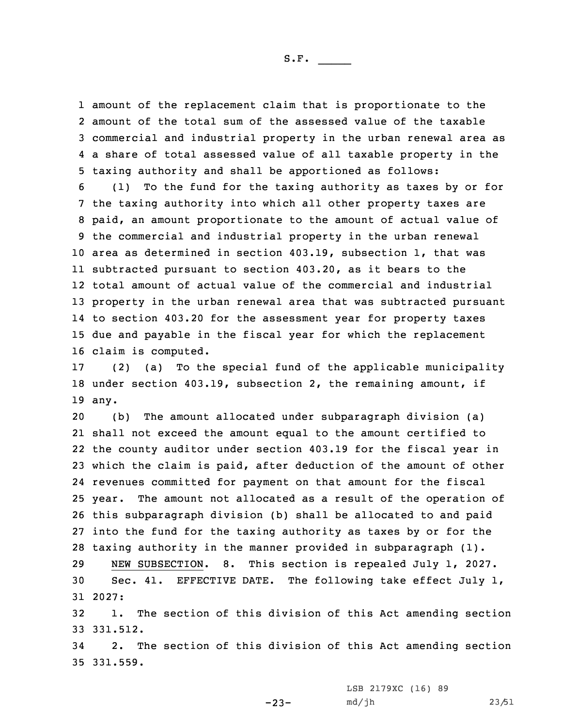amount of the replacement claim that is proportionate to the amount of the total sum of the assessed value of the taxable commercial and industrial property in the urban renewal area as <sup>a</sup> share of total assessed value of all taxable property in the taxing authority and shall be apportioned as follows:

 (1) To the fund for the taxing authority as taxes by or for the taxing authority into which all other property taxes are paid, an amount proportionate to the amount of actual value of the commercial and industrial property in the urban renewal area as determined in section 403.19, subsection 1, that was subtracted pursuant to section 403.20, as it bears to the total amount of actual value of the commercial and industrial property in the urban renewal area that was subtracted pursuant to section 403.20 for the assessment year for property taxes due and payable in the fiscal year for which the replacement claim is computed.

17 (2) (a) To the special fund of the applicable municipality 18 under section 403.19, subsection 2, the remaining amount, if 19 any.

 (b) The amount allocated under subparagraph division (a) shall not exceed the amount equal to the amount certified to the county auditor under section 403.19 for the fiscal year in which the claim is paid, after deduction of the amount of other revenues committed for payment on that amount for the fiscal year. The amount not allocated as <sup>a</sup> result of the operation of this subparagraph division (b) shall be allocated to and paid into the fund for the taxing authority as taxes by or for the taxing authority in the manner provided in subparagraph (1).

29 NEW SUBSECTION. 8. This section is repealed July 1, 2027. 30 Sec. 41. EFFECTIVE DATE. The following take effect July 1, 31 2027:

32 1. The section of this division of this Act amending section 33 331.512.

34 2. The section of this division of this Act amending section 35 331.559.

LSB 2179XC (16) 89

 $-23-$ 

md/jh 23/51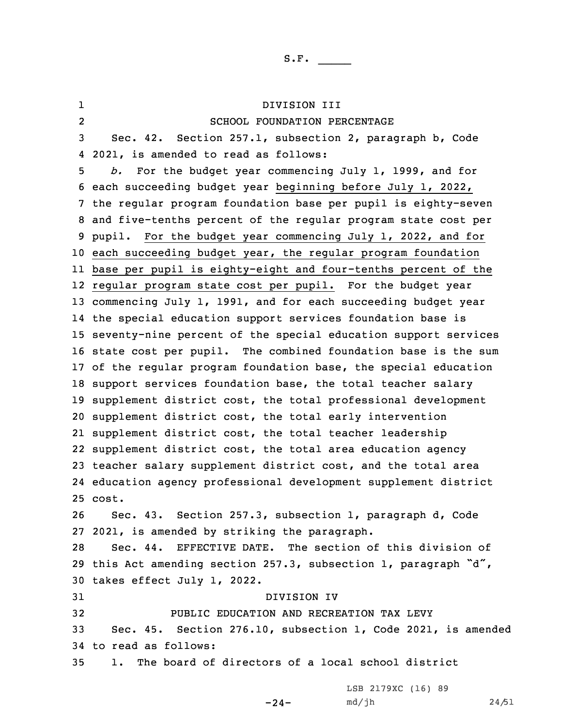1 DIVISION III 2 SCHOOL FOUNDATION PERCENTAGE Sec. 42. Section 257.1, subsection 2, paragraph b, Code 2021, is amended to read as follows: *b.* For the budget year commencing July 1, 1999, and for each succeeding budget year beginning before July 1, 2022, the regular program foundation base per pupil is eighty-seven and five-tenths percent of the regular program state cost per pupil. For the budget year commencing July 1, 2022, and for each succeeding budget year, the regular program foundation base per pupil is eighty-eight and four-tenths percent of the regular program state cost per pupil. For the budget year commencing July 1, 1991, and for each succeeding budget year the special education support services foundation base is seventy-nine percent of the special education support services state cost per pupil. The combined foundation base is the sum of the regular program foundation base, the special education support services foundation base, the total teacher salary supplement district cost, the total professional development supplement district cost, the total early intervention supplement district cost, the total teacher leadership supplement district cost, the total area education agency teacher salary supplement district cost, and the total area education agency professional development supplement district 25 cost. Sec. 43. Section 257.3, subsection 1, paragraph d, Code 2021, is amended by striking the paragraph. Sec. 44. EFFECTIVE DATE. The section of this division of this Act amending section 257.3, subsection 1, paragraph "d", takes effect July 1, 2022. DIVISION IV PUBLIC EDUCATION AND RECREATION TAX LEVY Sec. 45. Section 276.10, subsection 1, Code 2021, is amended to read as follows: 1. The board of directors of <sup>a</sup> local school district

 $-24-$ 

LSB 2179XC (16) 89 md/jh 24/51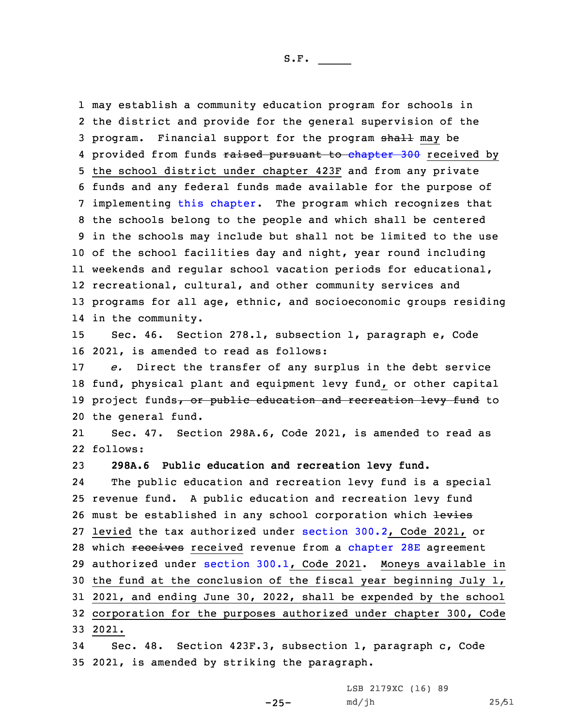may establish <sup>a</sup> community education program for schools in the district and provide for the general supervision of the 3 program. Financial support for the program shall may be 4 provided from funds <del>raised pursuant to [chapter](https://www.legis.iowa.gov/docs/code/2021/300.pdf) 300</del> received by the school district under chapter 423F and from any private funds and any federal funds made available for the purpose of implementing this [chapter](https://www.legis.iowa.gov/docs/code/2021/276.pdf). The program which recognizes that the schools belong to the people and which shall be centered in the schools may include but shall not be limited to the use of the school facilities day and night, year round including weekends and regular school vacation periods for educational, recreational, cultural, and other community services and programs for all age, ethnic, and socioeconomic groups residing in the community.

15 Sec. 46. Section 278.1, subsection 1, paragraph e, Code 16 2021, is amended to read as follows:

 *e.* Direct the transfer of any surplus in the debt service fund, physical plant and equipment levy fund, or other capital 19 project funds, or public education and recreation levy fund to the general fund.

21 Sec. 47. Section 298A.6, Code 2021, is amended to read as 22 follows:

23 **298A.6 Public education and recreation levy fund.**

24 The public education and recreation levy fund is <sup>a</sup> special 25 revenue fund. <sup>A</sup> public education and recreation levy fund 26 must be established in any school corporation which levies 27 levied the tax authorized under [section](https://www.legis.iowa.gov/docs/code/2021/300.2.pdf) 300.2, Code 2021, or 28 which receives received revenue from a [chapter](https://www.legis.iowa.gov/docs/code/2021/28E.pdf) 28E agreement 29 authorized under [section](https://www.legis.iowa.gov/docs/code/2021/300.1.pdf) 300.1, Code 2021. Moneys available in 30 the fund at the conclusion of the fiscal year beginning July 1, 31 2021, and ending June 30, 2022, shall be expended by the school 32 corporation for the purposes authorized under chapter 300, Code 33 2021.

34 Sec. 48. Section 423F.3, subsection 1, paragraph c, Code 35 2021, is amended by striking the paragraph.

LSB 2179XC (16) 89

md/jh 25/51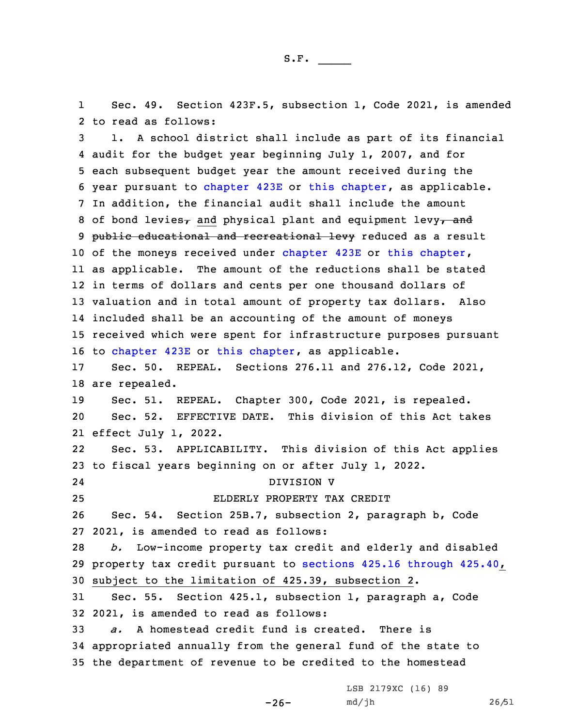1 Sec. 49. Section 423F.5, subsection 1, Code 2021, is amended 2 to read as follows:

 1. <sup>A</sup> school district shall include as part of its financial audit for the budget year beginning July 1, 2007, and for each subsequent budget year the amount received during the year pursuant to [chapter](https://www.legis.iowa.gov/docs/code/2021/423E.pdf) 423E or this [chapter](https://www.legis.iowa.gov/docs/code/2021/423F.pdf), as applicable. In addition, the financial audit shall include the amount 8 of bond levies<sub>7</sub> and physical plant and equipment levy<sub>7</sub> and 9 public educational and recreational levy reduced as a result 10 of the moneys received under [chapter](https://www.legis.iowa.gov/docs/code/2021/423F.pdf) 423E or this chapter, as applicable. The amount of the reductions shall be stated in terms of dollars and cents per one thousand dollars of valuation and in total amount of property tax dollars. Also included shall be an accounting of the amount of moneys received which were spent for infrastructure purposes pursuant to [chapter](https://www.legis.iowa.gov/docs/code/2021/423E.pdf) 423E or this [chapter](https://www.legis.iowa.gov/docs/code/2021/423F.pdf), as applicable. Sec. 50. REPEAL. Sections 276.11 and 276.12, Code 2021, are repealed. Sec. 51. REPEAL. Chapter 300, Code 2021, is repealed. Sec. 52. EFFECTIVE DATE. This division of this Act takes effect July 1, 2022. 22 Sec. 53. APPLICABILITY. This division of this Act applies to fiscal years beginning on or after July 1, 2022. 24 DIVISION V ELDERLY PROPERTY TAX CREDIT Sec. 54. Section 25B.7, subsection 2, paragraph b, Code 2021, is amended to read as follows: *b.* Low-income property tax credit and elderly and disabled property tax credit pursuant to sections 425.16 [through](https://www.legis.iowa.gov/docs/code/2021/425.16.pdf) 425.40, subject to the limitation of 425.39, subsection 2. Sec. 55. Section 425.1, subsection 1, paragraph a, Code 2021, is amended to read as follows: *a.* A homestead credit fund is created. There is appropriated annually from the general fund of the state to the department of revenue to be credited to the homestead

-26-

LSB 2179XC (16) 89 md/jh 26/51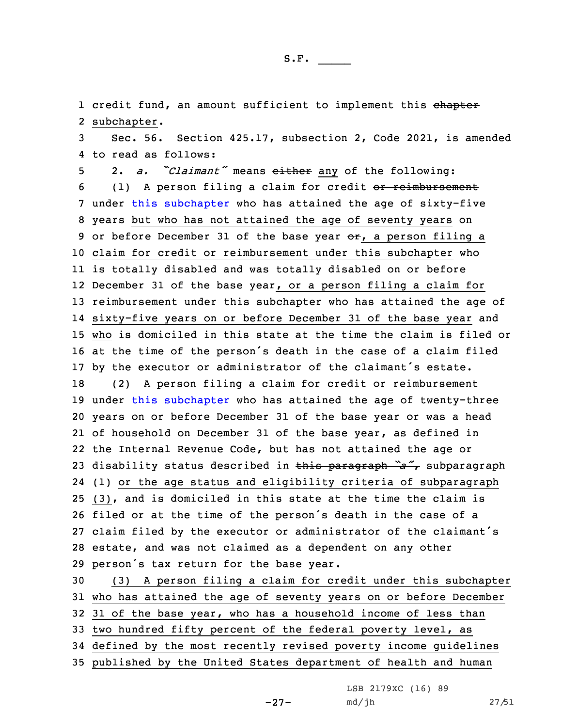1 credit fund, an amount sufficient to implement this <del>chapter</del> 2 subchapter.

3 Sec. 56. Section 425.17, subsection 2, Code 2021, is amended 4 to read as follows:

 2. *a. "Claimant"* means either any of the following: 6 (1) A person filing a claim for credit or reimbursement under this [subchapter](https://www.legis.iowa.gov/docs/code/2021/425.pdf) who has attained the age of sixty-five years but who has not attained the age of seventy years on 9 or before December 31 of the base year  $\Theta$ . a person filing a claim for credit or reimbursement under this subchapter who is totally disabled and was totally disabled on or before December 31 of the base year, or <sup>a</sup> person filing <sup>a</sup> claim for reimbursement under this subchapter who has attained the age of sixty-five years on or before December 31 of the base year and who is domiciled in this state at the time the claim is filed or at the time of the person's death in the case of <sup>a</sup> claim filed by the executor or administrator of the claimant's estate. (2) <sup>A</sup> person filing <sup>a</sup> claim for credit or reimbursement under this [subchapter](https://www.legis.iowa.gov/docs/code/2021/425.pdf) who has attained the age of twenty-three years on or before December 31 of the base year or was <sup>a</sup> head of household on December 31 of the base year, as defined in the Internal Revenue Code, but has not attained the age or disability status described in this paragraph *"a"*, subparagraph (1) or the age status and eligibility criteria of subparagraph (3), and is domiciled in this state at the time the claim is filed or at the time of the person's death in the case of <sup>a</sup> claim filed by the executor or administrator of the claimant's estate, and was not claimed as <sup>a</sup> dependent on any other person's tax return for the base year.

 (3) <sup>A</sup> person filing <sup>a</sup> claim for credit under this subchapter who has attained the age of seventy years on or before December 31 of the base year, who has <sup>a</sup> household income of less than two hundred fifty percent of the federal poverty level, as defined by the most recently revised poverty income guidelines published by the United States department of health and human

LSB 2179XC (16) 89

-27-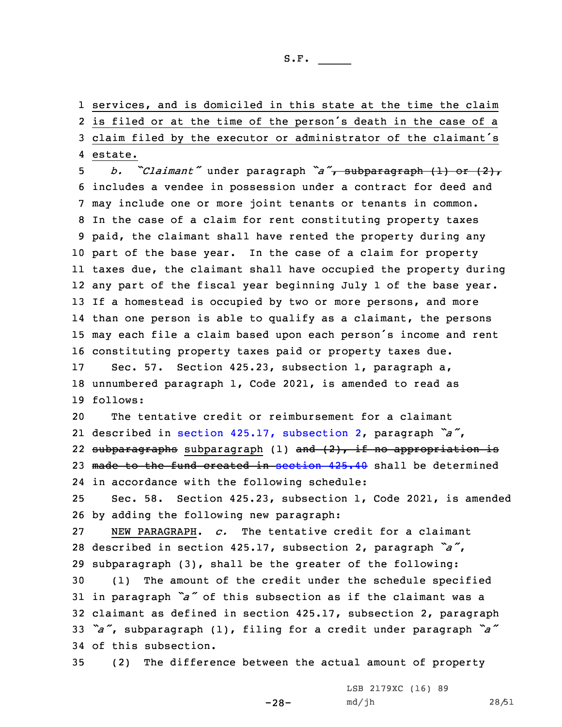services, and is domiciled in this state at the time the claim is filed or at the time of the person's death in the case of <sup>a</sup> claim filed by the executor or administrator of the claimant's 4 estate.

 *b. "Claimant"* under paragraph *"a"*, subparagraph (1) or (2), includes <sup>a</sup> vendee in possession under <sup>a</sup> contract for deed and may include one or more joint tenants or tenants in common. In the case of <sup>a</sup> claim for rent constituting property taxes paid, the claimant shall have rented the property during any part of the base year. In the case of <sup>a</sup> claim for property taxes due, the claimant shall have occupied the property during any part of the fiscal year beginning July 1 of the base year. 13 If a homestead is occupied by two or more persons, and more than one person is able to qualify as <sup>a</sup> claimant, the persons may each file <sup>a</sup> claim based upon each person's income and rent constituting property taxes paid or property taxes due.

17 Sec. 57. Section 425.23, subsection 1, paragraph a, 18 unnumbered paragraph 1, Code 2021, is amended to read as 19 follows:

20 The tentative credit or reimbursement for <sup>a</sup> claimant 21 described in section 425.17, [subsection](https://www.legis.iowa.gov/docs/code/2021/425.17.pdf) 2, paragraph *"a"*, 22 <del>subparagraphs</del> subparagraph (1) <del>and (2), if no appropriation is</del> 23 made to the fund created in [section](https://www.legis.iowa.gov/docs/code/2021/425.40.pdf) 425.40 shall be determined 24 in accordance with the following schedule:

25 Sec. 58. Section 425.23, subsection 1, Code 2021, is amended 26 by adding the following new paragraph:

27 NEW PARAGRAPH. *c.* The tentative credit for <sup>a</sup> claimant <sup>28</sup> described in section 425.17, subsection 2, paragraph *"a"*, 29 subparagraph (3), shall be the greater of the following:

 (1) The amount of the credit under the schedule specified in paragraph *"a"* of this subsection as if the claimant was <sup>a</sup> claimant as defined in section 425.17, subsection 2, paragraph *"a"*, subparagraph (1), filing for <sup>a</sup> credit under paragraph *"a"* of this subsection.

35 (2) The difference between the actual amount of property

-28-

LSB 2179XC (16) 89 md/jh 28/51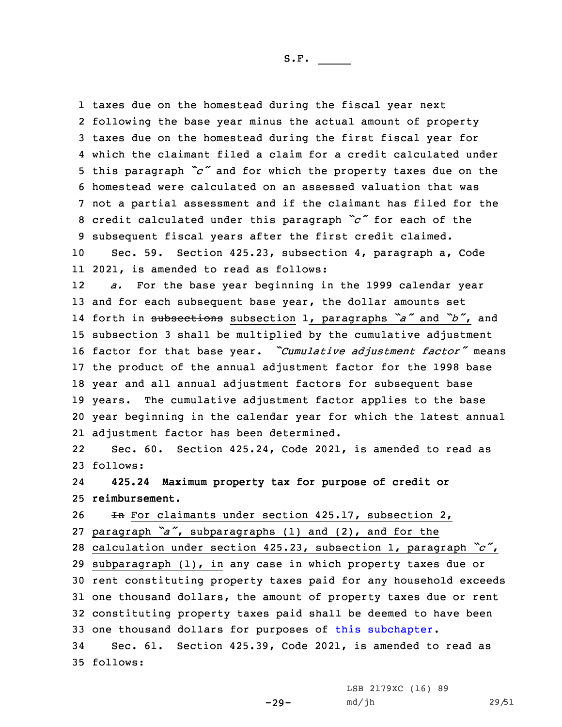taxes due on the homestead during the fiscal year next following the base year minus the actual amount of property taxes due on the homestead during the first fiscal year for which the claimant filed <sup>a</sup> claim for <sup>a</sup> credit calculated under this paragraph *"c"* and for which the property taxes due on the homestead were calculated on an assessed valuation that was not <sup>a</sup> partial assessment and if the claimant has filed for the credit calculated under this paragraph *"c"* for each of the subsequent fiscal years after the first credit claimed. Sec. 59. Section 425.23, subsection 4, paragraph a, Code 2021, is amended to read as follows: 12 *a.* For the base year beginning in the 1999 calendar year 13 and for each subsequent base year, the dollar amounts set forth in subsections subsection 1, paragraphs *"a"* and *"b"*, and subsection 3 shall be multiplied by the cumulative adjustment factor for that base year. *"Cumulative adjustment factor"* means the product of the annual adjustment factor for the 1998 base year and all annual adjustment factors for subsequent base years. The cumulative adjustment factor applies to the base year beginning in the calendar year for which the latest annual adjustment factor has been determined. 22 Sec. 60. Section 425.24, Code 2021, is amended to read as 23 follows:

24 **425.24 Maximum property tax for purpose of credit or** 25 **reimbursement.**

 In For claimants under section 425.17, subsection 2, paragraph *"a"*, subparagraphs (1) and (2), and for the calculation under section 425.23, subsection 1, paragraph *"c"*, subparagraph (1), in any case in which property taxes due or rent constituting property taxes paid for any household exceeds one thousand dollars, the amount of property taxes due or rent constituting property taxes paid shall be deemed to have been one thousand dollars for purposes of this [subchapter](https://www.legis.iowa.gov/docs/code/2021/425.pdf). Sec. 61. Section 425.39, Code 2021, is amended to read as

35 follows:

LSB 2179XC (16) 89

md/jh 29/51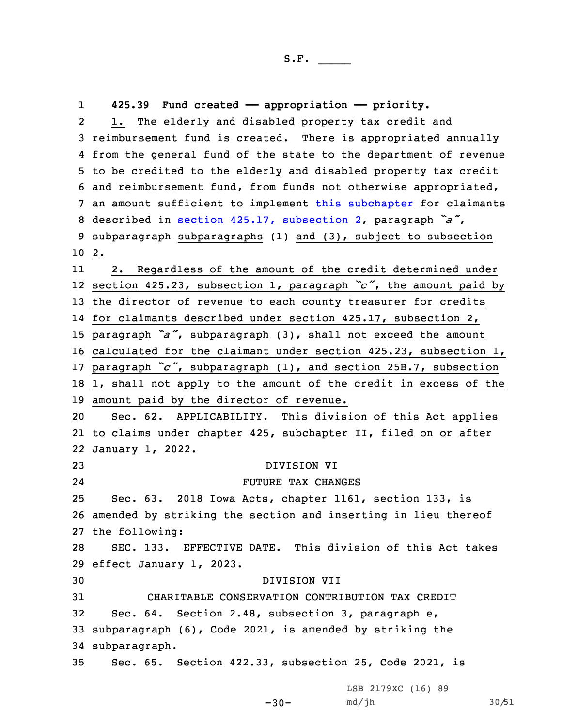reimbursement fund is created. There is appropriated annually from the general fund of the state to the department of revenue to be credited to the elderly and disabled property tax credit and reimbursement fund, from funds not otherwise appropriated, an amount sufficient to implement this [subchapter](https://www.legis.iowa.gov/docs/code/2021/425.pdf) for claimants described in section 425.17, [subsection](https://www.legis.iowa.gov/docs/code/2021/425.17.pdf) 2, paragraph *"a"*, 9 subparagraph subparagraphs (1) and (3), subject to subsection 10 2.

**425.39 Fund created —— appropriation —— priority.**

1. The elderly and disabled property tax credit and

1

2

11 2. Regardless of the amount of the credit determined under section 425.23, subsection 1, paragraph *"c"*, the amount paid by the director of revenue to each county treasurer for credits for claimants described under section 425.17, subsection 2, paragraph *"a"*, subparagraph (3), shall not exceed the amount calculated for the claimant under section 425.23, subsection 1, paragraph *"c"*, subparagraph (1), and section 25B.7, subsection 1, shall not apply to the amount of the credit in excess of the amount paid by the director of revenue.

20 Sec. 62. APPLICABILITY. This division of this Act applies 21 to claims under chapter 425, subchapter II, filed on or after 22 January 1, 2022.

 DIVISION VI 24 FUTURE TAX CHANGES Sec. 63. 2018 Iowa Acts, chapter 1161, section 133, is amended by striking the section and inserting in lieu thereof the following: SEC. 133. EFFECTIVE DATE. This division of this Act takes effect January 1, 2023. DIVISION VII CHARITABLE CONSERVATION CONTRIBUTION TAX CREDIT Sec. 64. Section 2.48, subsection 3, paragraph e,

33 subparagraph (6), Code 2021, is amended by striking the 34 subparagraph.

35 Sec. 65. Section 422.33, subsection 25, Code 2021, is

LSB 2179XC (16) 89

 $-30-$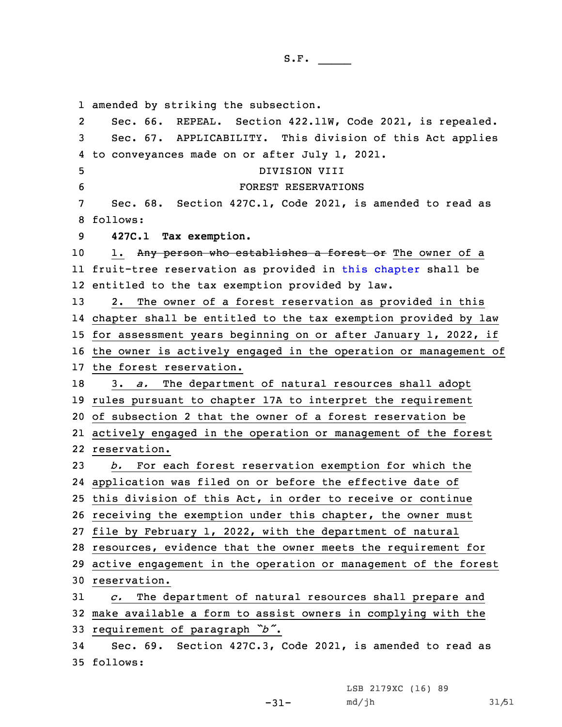amended by striking the subsection. 2 Sec. 66. REPEAL. Section 422.11W, Code 2021, is repealed. Sec. 67. APPLICABILITY. This division of this Act applies to conveyances made on or after July 1, 2021. DIVISION VIII FOREST RESERVATIONS Sec. 68. Section 427C.1, Code 2021, is amended to read as 8 follows: **427C.1 Tax exemption.** 10 1. Any person who establishes a forest or The owner of a fruit-tree reservation as provided in this [chapter](https://www.legis.iowa.gov/docs/code/2021/427C.pdf) shall be entitled to the tax exemption provided by law. 2. The owner of <sup>a</sup> forest reservation as provided in this chapter shall be entitled to the tax exemption provided by law for assessment years beginning on or after January 1, 2022, if the owner is actively engaged in the operation or management of the forest reservation. 3. *a.* The department of natural resources shall adopt rules pursuant to chapter 17A to interpret the requirement of subsection 2 that the owner of <sup>a</sup> forest reservation be actively engaged in the operation or management of the forest reservation. *b.* For each forest reservation exemption for which the application was filed on or before the effective date of this division of this Act, in order to receive or continue receiving the exemption under this chapter, the owner must file by February 1, 2022, with the department of natural resources, evidence that the owner meets the requirement for active engagement in the operation or management of the forest reservation. *c.* The department of natural resources shall prepare and make available <sup>a</sup> form to assist owners in complying with the requirement of paragraph *"b"*. Sec. 69. Section 427C.3, Code 2021, is amended to read as 35 follows:

LSB 2179XC (16) 89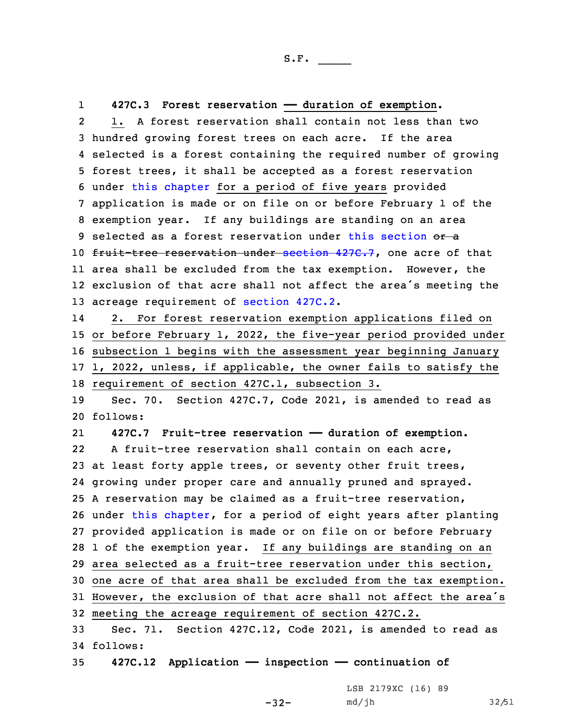1**427C.3 Forest reservation —— duration of exemption.**

2 1. A forest reservation shall contain not less than two hundred growing forest trees on each acre. If the area selected is <sup>a</sup> forest containing the required number of growing forest trees, it shall be accepted as <sup>a</sup> forest reservation under this [chapter](https://www.legis.iowa.gov/docs/code/2021/427C.pdf) for <sup>a</sup> period of five years provided application is made or on file on or before February 1 of the exemption year. If any buildings are standing on an area 9 selected as a forest reservation under this [section](https://www.legis.iowa.gov/docs/code/2021/427C.3.pdf) or a 10 fruit-tree reservation under [section](https://www.legis.iowa.gov/docs/code/2021/427C.7.pdf) 427C.7, one acre of that area shall be excluded from the tax exemption. However, the exclusion of that acre shall not affect the area's meeting the acreage requirement of [section](https://www.legis.iowa.gov/docs/code/2021/427C.2.pdf) 427C.2.

14 2. For forest reservation exemption applications filed on or before February 1, 2022, the five-year period provided under subsection 1 begins with the assessment year beginning January 1, 2022, unless, if applicable, the owner fails to satisfy the requirement of section 427C.1, subsection 3.

19 Sec. 70. Section 427C.7, Code 2021, is amended to read as 20 follows:

21 **427C.7 Fruit-tree reservation —— duration of exemption.** 22 A fruit-tree reservation shall contain on each acre, at least forty apple trees, or seventy other fruit trees, growing under proper care and annually pruned and sprayed. <sup>A</sup> reservation may be claimed as <sup>a</sup> fruit-tree reservation, under this [chapter](https://www.legis.iowa.gov/docs/code/2021/427C.pdf), for <sup>a</sup> period of eight years after planting provided application is made or on file on or before February 1 of the exemption year. If any buildings are standing on an area selected as <sup>a</sup> fruit-tree reservation under this section, one acre of that area shall be excluded from the tax exemption. However, the exclusion of that acre shall not affect the area's meeting the acreage requirement of section 427C.2. Sec. 71. Section 427C.12, Code 2021, is amended to read as

34 follows:

35 **427C.12 Application —— inspection —— continuation of**

LSB 2179XC (16) 89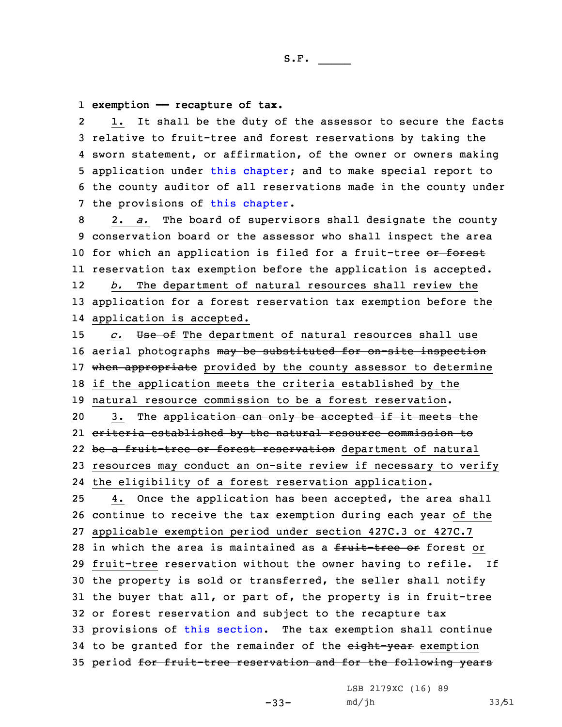1 **exemption —— recapture of tax.**

2 1. It shall be the duty of the assessor to secure the facts 3 relative to fruit-tree and forest reservations by taking the 4 sworn statement, or affirmation, of the owner or owners making 5 application under this [chapter](https://www.legis.iowa.gov/docs/code/2021/427C.pdf); and to make special report to 6 the county auditor of all reservations made in the county under 7 the provisions of this [chapter](https://www.legis.iowa.gov/docs/code/2021/427C.pdf).

 2. *a.* The board of supervisors shall designate the county conservation board or the assessor who shall inspect the area 10 for which an application is filed for a fruit-tree or forest reservation tax exemption before the application is accepted. 12 *b.* The department of natural resources shall review the application for <sup>a</sup> forest reservation tax exemption before the application is accepted.

 *c.* Use of The department of natural resources shall use 16 aerial photographs may be substituted for on-site inspection 17 when appropriate provided by the county assessor to determine if the application meets the criteria established by the natural resource commission to be <sup>a</sup> forest reservation. 20 3. The application can only be accepted if it meets the criteria established by the natural resource commission to 22 be a fruit-tree or forest reservation department of natural resources may conduct an on-site review if necessary to verify the eligibility of <sup>a</sup> forest reservation application. 4. Once the application has been accepted, the area shall continue to receive the tax exemption during each year of the applicable exemption period under section 427C.3 or 427C.7

28 in which the area is maintained as a fruit-tree or forest or fruit-tree reservation without the owner having to refile. If the property is sold or transferred, the seller shall notify the buyer that all, or part of, the property is in fruit-tree or forest reservation and subject to the recapture tax provisions of this [section](https://www.legis.iowa.gov/docs/code/2021/427C.12.pdf). The tax exemption shall continue 34 to be granted for the remainder of the eight-year exemption period for fruit-tree reservation and for the following years

LSB 2179XC (16) 89

 $-33-$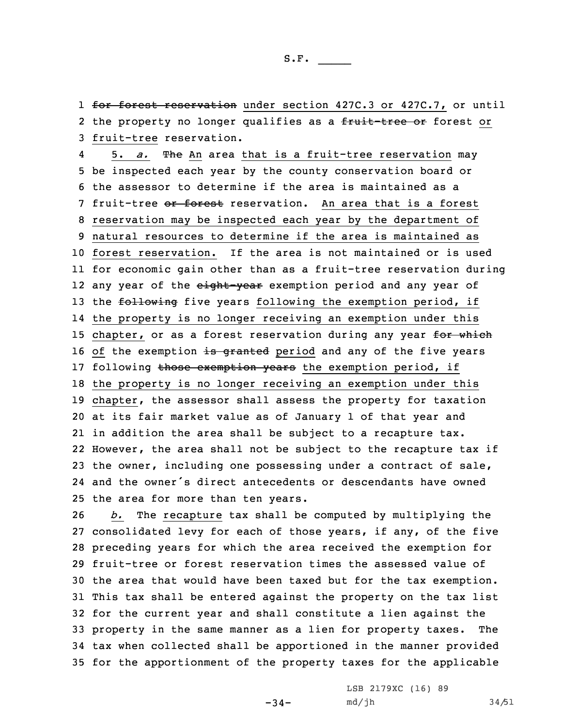1 for forest reservation under section 427C.3 or 427C.7, or until 2 the property no longer qualifies as a <del>fruit-tree or</del> forest or 3 fruit-tree reservation.

45. *a.* The An area that is a fruit-tree reservation may be inspected each year by the county conservation board or the assessor to determine if the area is maintained as <sup>a</sup> 7 fruit-tree or forest reservation. An area that is a forest reservation may be inspected each year by the department of natural resources to determine if the area is maintained as forest reservation. If the area is not maintained or is used for economic gain other than as <sup>a</sup> fruit-tree reservation during 12 any year of the <del>eight-year</del> exemption period and any year of 13 the following five years following the exemption period, if the property is no longer receiving an exemption under this 15 chapter, or as a forest reservation during any year for which 16 of the exemption is granted period and any of the five years 17 following those exemption years the exemption period, if the property is no longer receiving an exemption under this chapter, the assessor shall assess the property for taxation at its fair market value as of January 1 of that year and in addition the area shall be subject to <sup>a</sup> recapture tax. However, the area shall not be subject to the recapture tax if the owner, including one possessing under <sup>a</sup> contract of sale, and the owner's direct antecedents or descendants have owned the area for more than ten years.

 *b.* The recapture tax shall be computed by multiplying the consolidated levy for each of those years, if any, of the five preceding years for which the area received the exemption for fruit-tree or forest reservation times the assessed value of the area that would have been taxed but for the tax exemption. This tax shall be entered against the property on the tax list for the current year and shall constitute <sup>a</sup> lien against the property in the same manner as <sup>a</sup> lien for property taxes. The tax when collected shall be apportioned in the manner provided for the apportionment of the property taxes for the applicable

 $-34-$ 

LSB 2179XC (16) 89 md/jh 34/51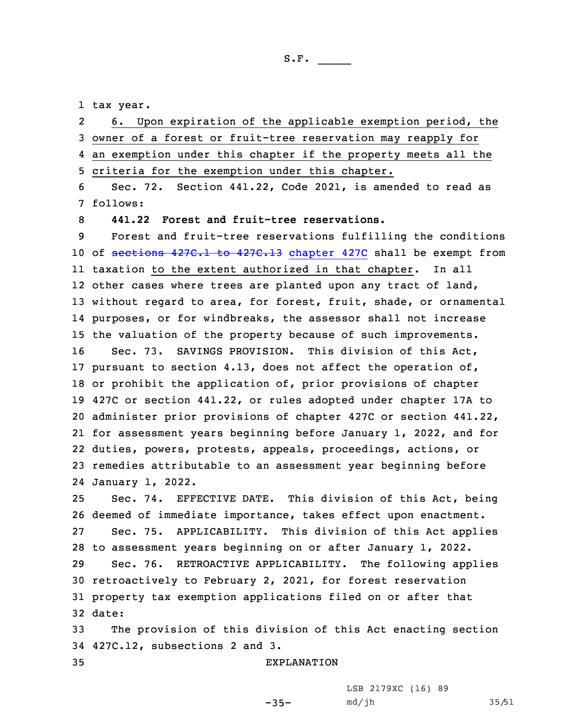1 tax year.

2 6. Upon expiration of the applicable exemption period, the owner of <sup>a</sup> forest or fruit-tree reservation may reapply for an exemption under this chapter if the property meets all the criteria for the exemption under this chapter. Sec. 72. Section 441.22, Code 2021, is amended to read as 7 follows: **441.22 Forest and fruit-tree reservations.** Forest and fruit-tree reservations fulfilling the conditions 10 of [sections](https://www.legis.iowa.gov/docs/code/2021/427C.1.pdf) 427C.1 to 427C.13 [chapter](https://www.legis.iowa.gov/docs/code/2021/427C.pdf) 427C shall be exempt from taxation to the extent authorized in that chapter. In all other cases where trees are planted upon any tract of land, without regard to area, for forest, fruit, shade, or ornamental purposes, or for windbreaks, the assessor shall not increase the valuation of the property because of such improvements. Sec. 73. SAVINGS PROVISION. This division of this Act, pursuant to section 4.13, does not affect the operation of, or prohibit the application of, prior provisions of chapter 427C or section 441.22, or rules adopted under chapter 17A to administer prior provisions of chapter 427C or section 441.22, for assessment years beginning before January 1, 2022, and for duties, powers, protests, appeals, proceedings, actions, or remedies attributable to an assessment year beginning before January 1, 2022. Sec. 74. EFFECTIVE DATE. This division of this Act, being deemed of immediate importance, takes effect upon enactment. Sec. 75. APPLICABILITY. This division of this Act applies to assessment years beginning on or after January 1, 2022. Sec. 76. RETROACTIVE APPLICABILITY. The following applies retroactively to February 2, 2021, for forest reservation property tax exemption applications filed on or after that 32 date: The provision of this division of this Act enacting section 427C.12, subsections 2 and 3. EXPLANATION

 $-35-$ 

LSB 2179XC (16) 89 md/jh 35/51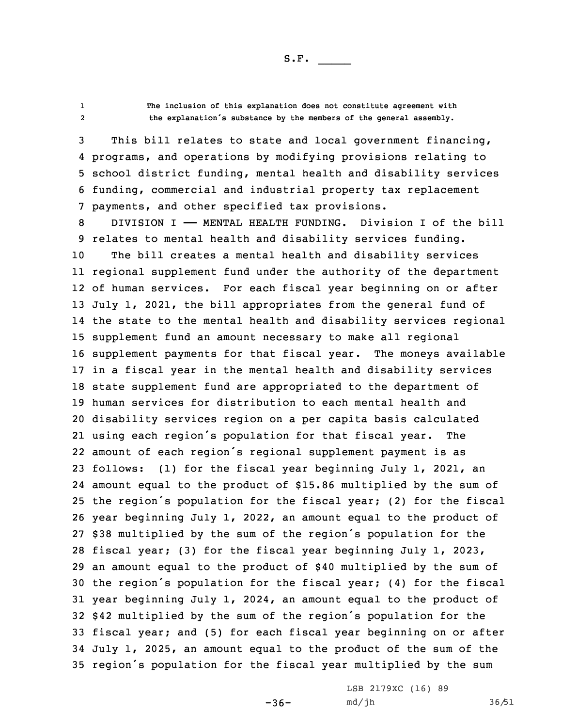12

 **The inclusion of this explanation does not constitute agreement with the explanation's substance by the members of the general assembly.**

 This bill relates to state and local government financing, programs, and operations by modifying provisions relating to school district funding, mental health and disability services funding, commercial and industrial property tax replacement payments, and other specified tax provisions.

8 DIVISION I - MENTAL HEALTH FUNDING. Division I of the bill relates to mental health and disability services funding. The bill creates <sup>a</sup> mental health and disability services regional supplement fund under the authority of the department of human services. For each fiscal year beginning on or after July 1, 2021, the bill appropriates from the general fund of the state to the mental health and disability services regional supplement fund an amount necessary to make all regional supplement payments for that fiscal year. The moneys available in <sup>a</sup> fiscal year in the mental health and disability services state supplement fund are appropriated to the department of human services for distribution to each mental health and disability services region on <sup>a</sup> per capita basis calculated using each region's population for that fiscal year. The amount of each region's regional supplement payment is as follows: (1) for the fiscal year beginning July 1, 2021, an amount equal to the product of \$15.86 multiplied by the sum of the region's population for the fiscal year; (2) for the fiscal year beginning July 1, 2022, an amount equal to the product of \$38 multiplied by the sum of the region's population for the fiscal year; (3) for the fiscal year beginning July 1, 2023, an amount equal to the product of \$40 multiplied by the sum of the region's population for the fiscal year; (4) for the fiscal year beginning July 1, 2024, an amount equal to the product of \$42 multiplied by the sum of the region's population for the fiscal year; and (5) for each fiscal year beginning on or after July 1, 2025, an amount equal to the product of the sum of the region's population for the fiscal year multiplied by the sum

 $-36-$ 

LSB 2179XC (16) 89 md/jh 36/51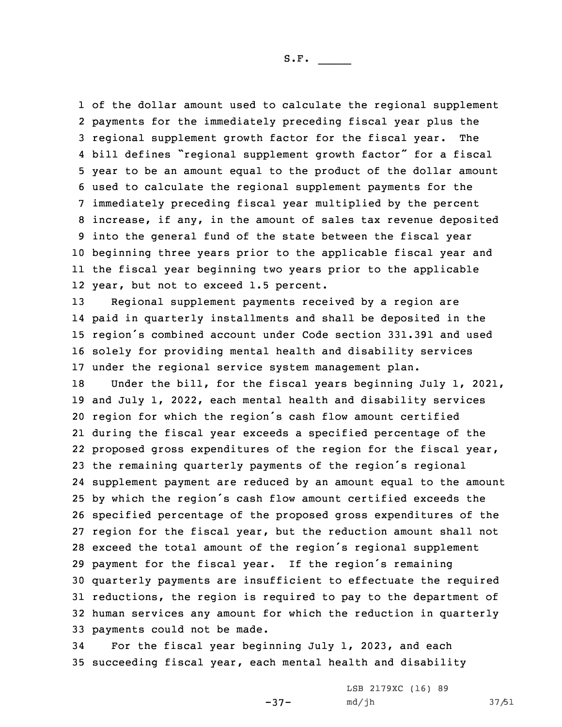of the dollar amount used to calculate the regional supplement payments for the immediately preceding fiscal year plus the regional supplement growth factor for the fiscal year. The bill defines "regional supplement growth factor" for <sup>a</sup> fiscal year to be an amount equal to the product of the dollar amount used to calculate the regional supplement payments for the immediately preceding fiscal year multiplied by the percent increase, if any, in the amount of sales tax revenue deposited into the general fund of the state between the fiscal year beginning three years prior to the applicable fiscal year and the fiscal year beginning two years prior to the applicable year, but not to exceed 1.5 percent.

 Regional supplement payments received by <sup>a</sup> region are paid in quarterly installments and shall be deposited in the region's combined account under Code section 331.391 and used solely for providing mental health and disability services under the regional service system management plan.

 Under the bill, for the fiscal years beginning July 1, 2021, and July 1, 2022, each mental health and disability services region for which the region's cash flow amount certified during the fiscal year exceeds <sup>a</sup> specified percentage of the proposed gross expenditures of the region for the fiscal year, the remaining quarterly payments of the region's regional supplement payment are reduced by an amount equal to the amount by which the region's cash flow amount certified exceeds the specified percentage of the proposed gross expenditures of the region for the fiscal year, but the reduction amount shall not exceed the total amount of the region's regional supplement payment for the fiscal year. If the region's remaining quarterly payments are insufficient to effectuate the required reductions, the region is required to pay to the department of human services any amount for which the reduction in quarterly payments could not be made.

34 For the fiscal year beginning July 1, 2023, and each 35 succeeding fiscal year, each mental health and disability

-37-

LSB 2179XC (16) 89 md/jh 37/51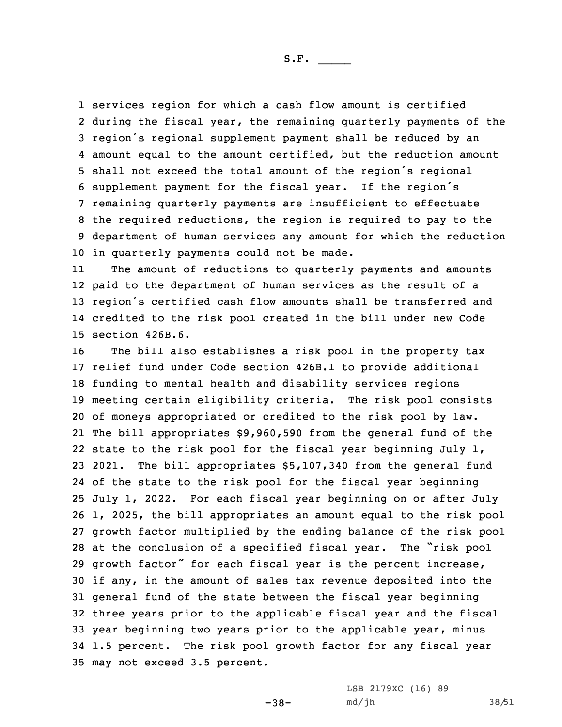services region for which <sup>a</sup> cash flow amount is certified during the fiscal year, the remaining quarterly payments of the region's regional supplement payment shall be reduced by an amount equal to the amount certified, but the reduction amount shall not exceed the total amount of the region's regional supplement payment for the fiscal year. If the region's remaining quarterly payments are insufficient to effectuate the required reductions, the region is required to pay to the department of human services any amount for which the reduction in quarterly payments could not be made.

11 The amount of reductions to quarterly payments and amounts paid to the department of human services as the result of <sup>a</sup> region's certified cash flow amounts shall be transferred and credited to the risk pool created in the bill under new Code section 426B.6.

 The bill also establishes <sup>a</sup> risk pool in the property tax relief fund under Code section 426B.1 to provide additional funding to mental health and disability services regions meeting certain eligibility criteria. The risk pool consists of moneys appropriated or credited to the risk pool by law. The bill appropriates \$9,960,590 from the general fund of the state to the risk pool for the fiscal year beginning July 1, 2021. The bill appropriates \$5,107,340 from the general fund of the state to the risk pool for the fiscal year beginning July 1, 2022. For each fiscal year beginning on or after July 1, 2025, the bill appropriates an amount equal to the risk pool growth factor multiplied by the ending balance of the risk pool at the conclusion of <sup>a</sup> specified fiscal year. The "risk pool growth factor" for each fiscal year is the percent increase, if any, in the amount of sales tax revenue deposited into the general fund of the state between the fiscal year beginning three years prior to the applicable fiscal year and the fiscal year beginning two years prior to the applicable year, minus 1.5 percent. The risk pool growth factor for any fiscal year may not exceed 3.5 percent.

-38-

LSB 2179XC (16) 89 md/jh 38/51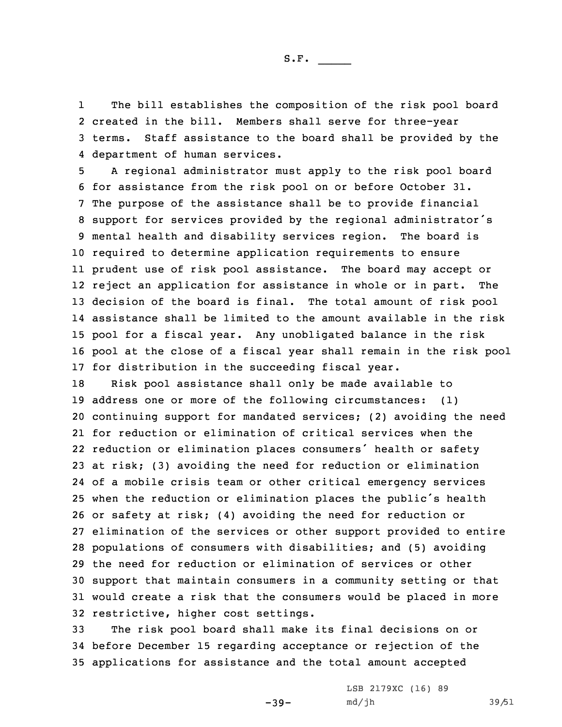1 The bill establishes the composition of the risk pool board 2 created in the bill. Members shall serve for three-year 3 terms. Staff assistance to the board shall be provided by the 4 department of human services.

 <sup>A</sup> regional administrator must apply to the risk pool board for assistance from the risk pool on or before October 31. The purpose of the assistance shall be to provide financial support for services provided by the regional administrator's mental health and disability services region. The board is required to determine application requirements to ensure prudent use of risk pool assistance. The board may accept or reject an application for assistance in whole or in part. The decision of the board is final. The total amount of risk pool assistance shall be limited to the amount available in the risk pool for <sup>a</sup> fiscal year. Any unobligated balance in the risk pool at the close of <sup>a</sup> fiscal year shall remain in the risk pool for distribution in the succeeding fiscal year.

 Risk pool assistance shall only be made available to address one or more of the following circumstances: (1) continuing support for mandated services; (2) avoiding the need for reduction or elimination of critical services when the reduction or elimination places consumers' health or safety at risk; (3) avoiding the need for reduction or elimination of <sup>a</sup> mobile crisis team or other critical emergency services when the reduction or elimination places the public's health or safety at risk; (4) avoiding the need for reduction or elimination of the services or other support provided to entire populations of consumers with disabilities; and (5) avoiding the need for reduction or elimination of services or other support that maintain consumers in <sup>a</sup> community setting or that would create <sup>a</sup> risk that the consumers would be placed in more restrictive, higher cost settings.

33 The risk pool board shall make its final decisions on or 34 before December 15 regarding acceptance or rejection of the 35 applications for assistance and the total amount accepted

 $-39-$ 

LSB 2179XC (16) 89 md/jh 39/51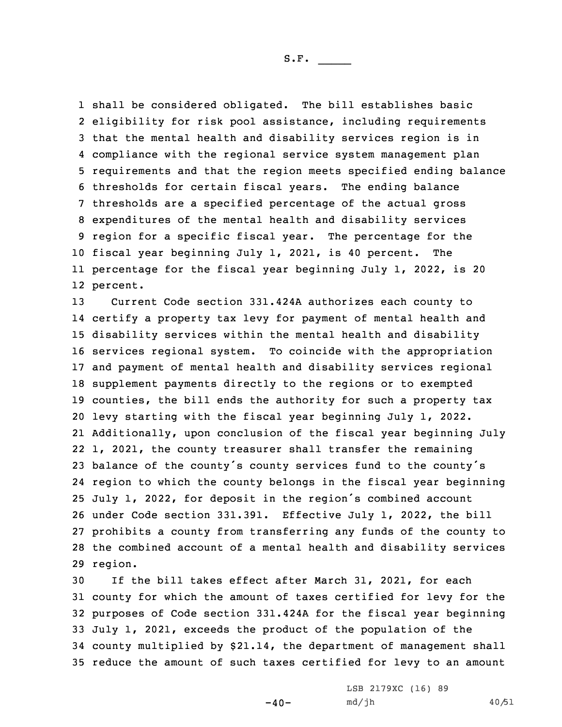shall be considered obligated. The bill establishes basic eligibility for risk pool assistance, including requirements that the mental health and disability services region is in compliance with the regional service system management plan requirements and that the region meets specified ending balance thresholds for certain fiscal years. The ending balance thresholds are <sup>a</sup> specified percentage of the actual gross expenditures of the mental health and disability services region for <sup>a</sup> specific fiscal year. The percentage for the fiscal year beginning July 1, 2021, is 40 percent. The percentage for the fiscal year beginning July 1, 2022, is 20 12 percent.

 Current Code section 331.424A authorizes each county to certify <sup>a</sup> property tax levy for payment of mental health and disability services within the mental health and disability services regional system. To coincide with the appropriation and payment of mental health and disability services regional supplement payments directly to the regions or to exempted counties, the bill ends the authority for such <sup>a</sup> property tax levy starting with the fiscal year beginning July 1, 2022. Additionally, upon conclusion of the fiscal year beginning July 1, 2021, the county treasurer shall transfer the remaining balance of the county's county services fund to the county's region to which the county belongs in the fiscal year beginning July 1, 2022, for deposit in the region's combined account under Code section 331.391. Effective July 1, 2022, the bill prohibits <sup>a</sup> county from transferring any funds of the county to the combined account of <sup>a</sup> mental health and disability services 29 region.

 If the bill takes effect after March 31, 2021, for each county for which the amount of taxes certified for levy for the purposes of Code section 331.424A for the fiscal year beginning July 1, 2021, exceeds the product of the population of the county multiplied by \$21.14, the department of management shall reduce the amount of such taxes certified for levy to an amount

 $-40-$ 

LSB 2179XC (16) 89 md/jh 40/51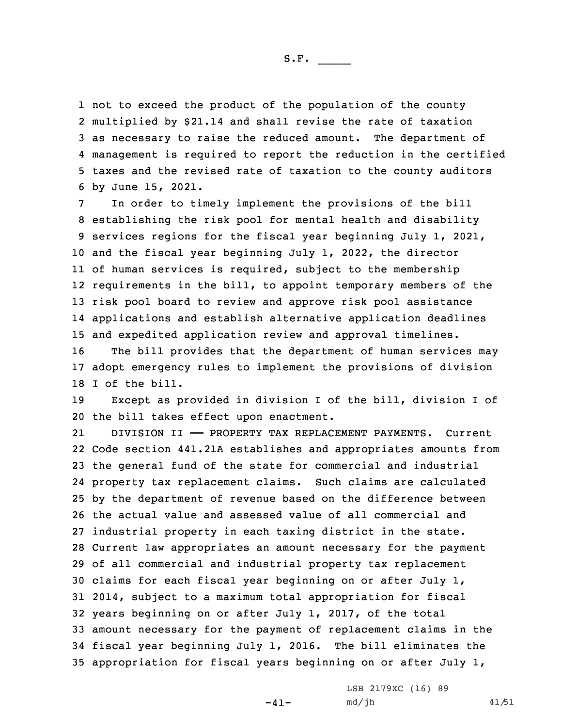not to exceed the product of the population of the county multiplied by \$21.14 and shall revise the rate of taxation as necessary to raise the reduced amount. The department of management is required to report the reduction in the certified taxes and the revised rate of taxation to the county auditors by June 15, 2021.

 In order to timely implement the provisions of the bill establishing the risk pool for mental health and disability services regions for the fiscal year beginning July 1, 2021, and the fiscal year beginning July 1, 2022, the director of human services is required, subject to the membership requirements in the bill, to appoint temporary members of the risk pool board to review and approve risk pool assistance applications and establish alternative application deadlines and expedited application review and approval timelines.

16 The bill provides that the department of human services may 17 adopt emergency rules to implement the provisions of division 18 I of the bill.

19 Except as provided in division <sup>I</sup> of the bill, division <sup>I</sup> of 20 the bill takes effect upon enactment.

21 DIVISION II —— PROPERTY TAX REPLACEMENT PAYMENTS. Current Code section 441.21A establishes and appropriates amounts from the general fund of the state for commercial and industrial property tax replacement claims. Such claims are calculated by the department of revenue based on the difference between the actual value and assessed value of all commercial and industrial property in each taxing district in the state. Current law appropriates an amount necessary for the payment of all commercial and industrial property tax replacement claims for each fiscal year beginning on or after July 1, 2014, subject to <sup>a</sup> maximum total appropriation for fiscal years beginning on or after July 1, 2017, of the total amount necessary for the payment of replacement claims in the fiscal year beginning July 1, 2016. The bill eliminates the appropriation for fiscal years beginning on or after July 1,

 $-41-$ 

LSB 2179XC (16) 89 md/jh 41/51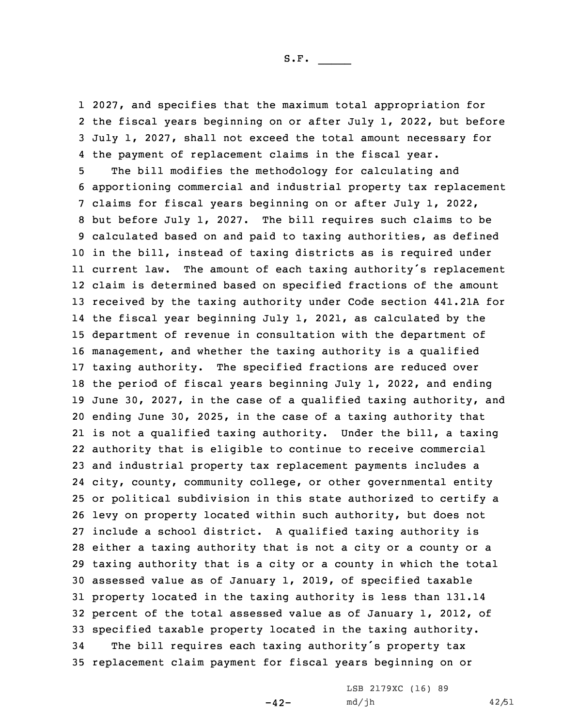2027, and specifies that the maximum total appropriation for the fiscal years beginning on or after July 1, 2022, but before July 1, 2027, shall not exceed the total amount necessary for the payment of replacement claims in the fiscal year.

 The bill modifies the methodology for calculating and apportioning commercial and industrial property tax replacement claims for fiscal years beginning on or after July 1, 2022, but before July 1, 2027. The bill requires such claims to be calculated based on and paid to taxing authorities, as defined in the bill, instead of taxing districts as is required under current law. The amount of each taxing authority's replacement claim is determined based on specified fractions of the amount received by the taxing authority under Code section 441.21A for the fiscal year beginning July 1, 2021, as calculated by the department of revenue in consultation with the department of management, and whether the taxing authority is <sup>a</sup> qualified taxing authority. The specified fractions are reduced over the period of fiscal years beginning July 1, 2022, and ending June 30, 2027, in the case of <sup>a</sup> qualified taxing authority, and ending June 30, 2025, in the case of <sup>a</sup> taxing authority that is not <sup>a</sup> qualified taxing authority. Under the bill, <sup>a</sup> taxing authority that is eligible to continue to receive commercial and industrial property tax replacement payments includes <sup>a</sup> city, county, community college, or other governmental entity or political subdivision in this state authorized to certify <sup>a</sup> levy on property located within such authority, but does not include <sup>a</sup> school district. <sup>A</sup> qualified taxing authority is either <sup>a</sup> taxing authority that is not <sup>a</sup> city or <sup>a</sup> county or <sup>a</sup> taxing authority that is <sup>a</sup> city or <sup>a</sup> county in which the total assessed value as of January 1, 2019, of specified taxable property located in the taxing authority is less than 131.14 percent of the total assessed value as of January 1, 2012, of specified taxable property located in the taxing authority. The bill requires each taxing authority's property tax replacement claim payment for fiscal years beginning on or

 $-42-$ 

LSB 2179XC (16) 89 md/jh 42/51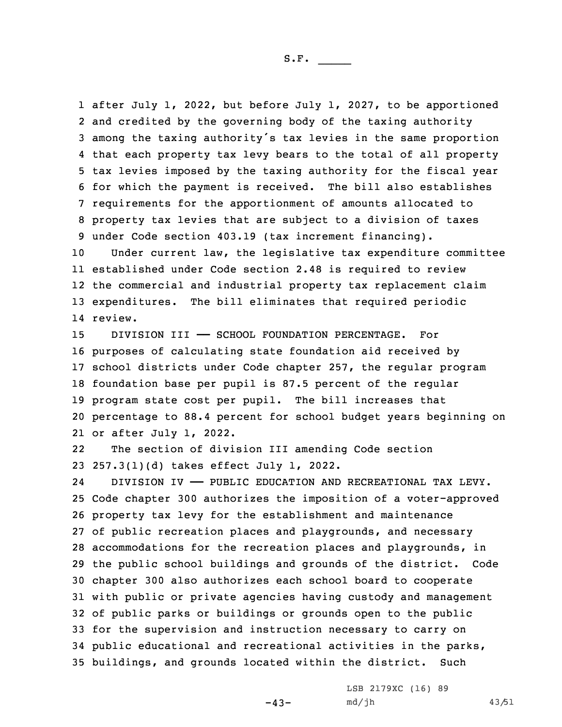after July 1, 2022, but before July 1, 2027, to be apportioned and credited by the governing body of the taxing authority among the taxing authority's tax levies in the same proportion that each property tax levy bears to the total of all property tax levies imposed by the taxing authority for the fiscal year for which the payment is received. The bill also establishes requirements for the apportionment of amounts allocated to property tax levies that are subject to <sup>a</sup> division of taxes under Code section 403.19 (tax increment financing).

 Under current law, the legislative tax expenditure committee established under Code section 2.48 is required to review the commercial and industrial property tax replacement claim expenditures. The bill eliminates that required periodic 14 review.

15 DIVISION III - SCHOOL FOUNDATION PERCENTAGE. For purposes of calculating state foundation aid received by school districts under Code chapter 257, the regular program foundation base per pupil is 87.5 percent of the regular program state cost per pupil. The bill increases that percentage to 88.4 percent for school budget years beginning on or after July 1, 2022.

22 The section of division III amending Code section 23 257.3(1)(d) takes effect July 1, 2022.

24 DIVISION IV —— PUBLIC EDUCATION AND RECREATIONAL TAX LEVY. Code chapter 300 authorizes the imposition of <sup>a</sup> voter-approved property tax levy for the establishment and maintenance of public recreation places and playgrounds, and necessary accommodations for the recreation places and playgrounds, in the public school buildings and grounds of the district. Code chapter 300 also authorizes each school board to cooperate with public or private agencies having custody and management of public parks or buildings or grounds open to the public for the supervision and instruction necessary to carry on public educational and recreational activities in the parks, buildings, and grounds located within the district. Such

 $-43-$ 

LSB 2179XC (16) 89 md/jh 43/51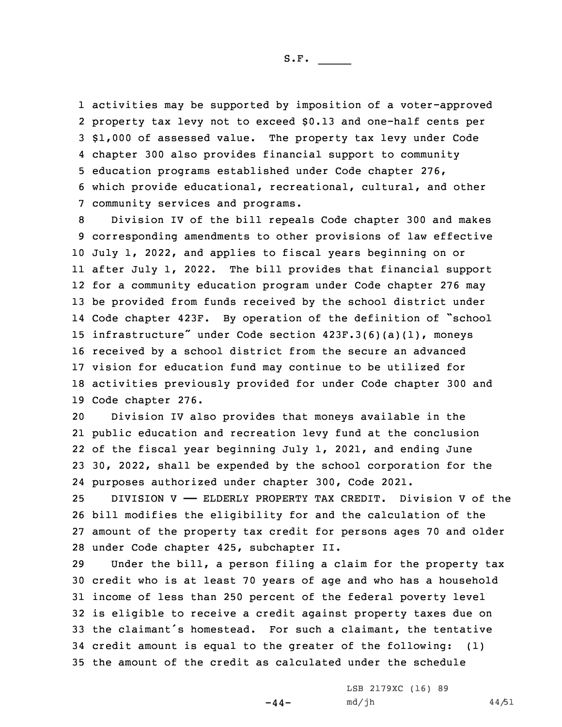activities may be supported by imposition of <sup>a</sup> voter-approved property tax levy not to exceed \$0.13 and one-half cents per \$1,000 of assessed value. The property tax levy under Code chapter 300 also provides financial support to community education programs established under Code chapter 276, which provide educational, recreational, cultural, and other community services and programs.

 Division IV of the bill repeals Code chapter 300 and makes corresponding amendments to other provisions of law effective July 1, 2022, and applies to fiscal years beginning on or after July 1, 2022. The bill provides that financial support for <sup>a</sup> community education program under Code chapter 276 may be provided from funds received by the school district under Code chapter 423F. By operation of the definition of "school infrastructure" under Code section 423F.3(6)(a)(1), moneys received by <sup>a</sup> school district from the secure an advanced vision for education fund may continue to be utilized for activities previously provided for under Code chapter 300 and Code chapter 276.

 Division IV also provides that moneys available in the public education and recreation levy fund at the conclusion of the fiscal year beginning July 1, 2021, and ending June 30, 2022, shall be expended by the school corporation for the purposes authorized under chapter 300, Code 2021.

 DIVISION V —— ELDERLY PROPERTY TAX CREDIT. Division V of the bill modifies the eligibility for and the calculation of the amount of the property tax credit for persons ages 70 and older under Code chapter 425, subchapter II.

 Under the bill, <sup>a</sup> person filing <sup>a</sup> claim for the property tax credit who is at least 70 years of age and who has <sup>a</sup> household income of less than 250 percent of the federal poverty level is eligible to receive <sup>a</sup> credit against property taxes due on the claimant's homestead. For such <sup>a</sup> claimant, the tentative credit amount is equal to the greater of the following: (1) the amount of the credit as calculated under the schedule

 $-44-$ 

LSB 2179XC (16) 89 md/jh 44/51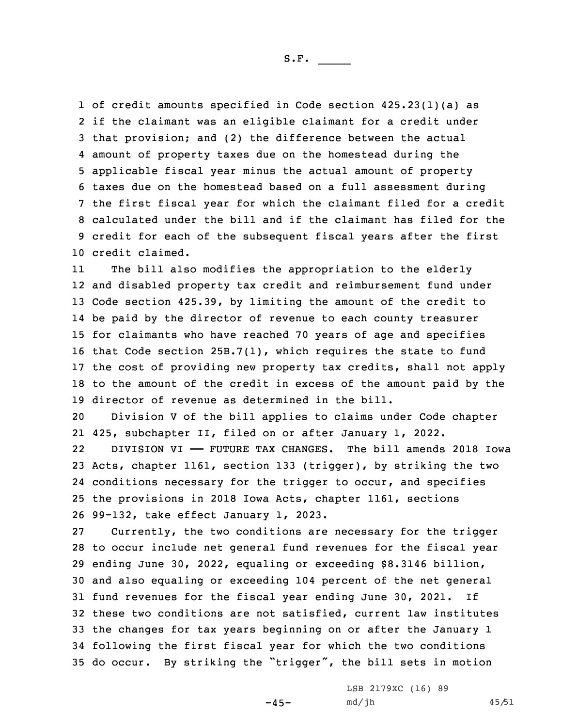of credit amounts specified in Code section 425.23(1)(a) as if the claimant was an eligible claimant for <sup>a</sup> credit under that provision; and (2) the difference between the actual amount of property taxes due on the homestead during the applicable fiscal year minus the actual amount of property taxes due on the homestead based on <sup>a</sup> full assessment during the first fiscal year for which the claimant filed for <sup>a</sup> credit calculated under the bill and if the claimant has filed for the credit for each of the subsequent fiscal years after the first credit claimed.

11 The bill also modifies the appropriation to the elderly and disabled property tax credit and reimbursement fund under Code section 425.39, by limiting the amount of the credit to be paid by the director of revenue to each county treasurer for claimants who have reached 70 years of age and specifies that Code section 25B.7(1), which requires the state to fund the cost of providing new property tax credits, shall not apply to the amount of the credit in excess of the amount paid by the director of revenue as determined in the bill.

20 Division <sup>V</sup> of the bill applies to claims under Code chapter 21 425, subchapter II, filed on or after January 1, 2022.

22 DIVISION VI —— FUTURE TAX CHANGES. The bill amends 2018 Iowa Acts, chapter 1161, section 133 (trigger), by striking the two conditions necessary for the trigger to occur, and specifies the provisions in 2018 Iowa Acts, chapter 1161, sections 99-132, take effect January 1, 2023.

 Currently, the two conditions are necessary for the trigger to occur include net general fund revenues for the fiscal year ending June 30, 2022, equaling or exceeding \$8.3146 billion, and also equaling or exceeding 104 percent of the net general fund revenues for the fiscal year ending June 30, 2021. If these two conditions are not satisfied, current law institutes the changes for tax years beginning on or after the January 1 following the first fiscal year for which the two conditions do occur. By striking the "trigger", the bill sets in motion

 $-45-$ 

LSB 2179XC (16) 89 md/jh 45/51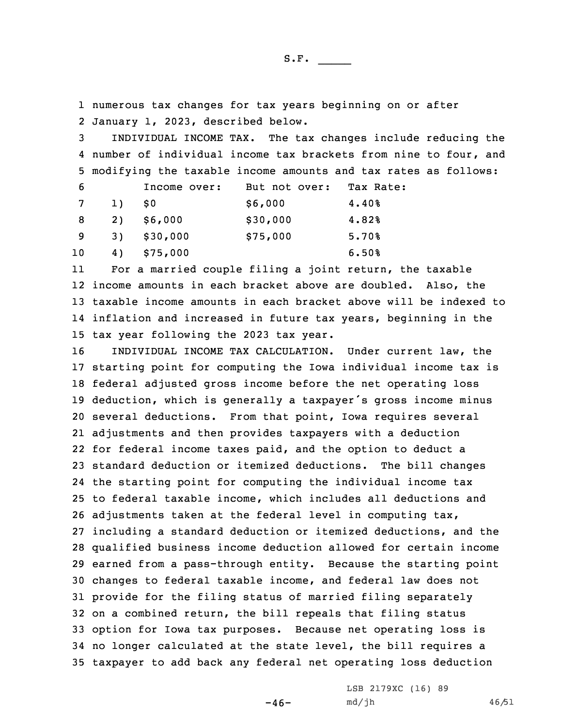1 numerous tax changes for tax years beginning on or after 2 January 1, 2023, described below.

3 INDIVIDUAL INCOME TAX. The tax changes include reducing the 4 number of individual income tax brackets from nine to four, and 5 modifying the taxable income amounts and tax rates as follows:

| 6               |            | Income over: | But not over: | Tax Rate: |
|-----------------|------------|--------------|---------------|-----------|
| $7\overline{ }$ | 1)         | - S 0        | \$6,000       | 4.40%     |
| - 8             | <b>2</b> ) | \$6,000      | \$30,000      | 4.82%     |
| - 9             | 3)         | \$30,000     | \$75,000      | 5.70%     |
| 10              | 4)         | \$75,000     |               | 6.50%     |

11 For <sup>a</sup> married couple filing <sup>a</sup> joint return, the taxable income amounts in each bracket above are doubled. Also, the taxable income amounts in each bracket above will be indexed to inflation and increased in future tax years, beginning in the tax year following the 2023 tax year.

 INDIVIDUAL INCOME TAX CALCULATION. Under current law, the starting point for computing the Iowa individual income tax is federal adjusted gross income before the net operating loss deduction, which is generally <sup>a</sup> taxpayer's gross income minus several deductions. From that point, Iowa requires several adjustments and then provides taxpayers with <sup>a</sup> deduction for federal income taxes paid, and the option to deduct <sup>a</sup> standard deduction or itemized deductions. The bill changes the starting point for computing the individual income tax to federal taxable income, which includes all deductions and adjustments taken at the federal level in computing tax, including <sup>a</sup> standard deduction or itemized deductions, and the qualified business income deduction allowed for certain income earned from <sup>a</sup> pass-through entity. Because the starting point changes to federal taxable income, and federal law does not provide for the filing status of married filing separately on <sup>a</sup> combined return, the bill repeals that filing status option for Iowa tax purposes. Because net operating loss is no longer calculated at the state level, the bill requires <sup>a</sup> taxpayer to add back any federal net operating loss deduction

 $-46-$ 

LSB 2179XC (16) 89 md/jh 46/51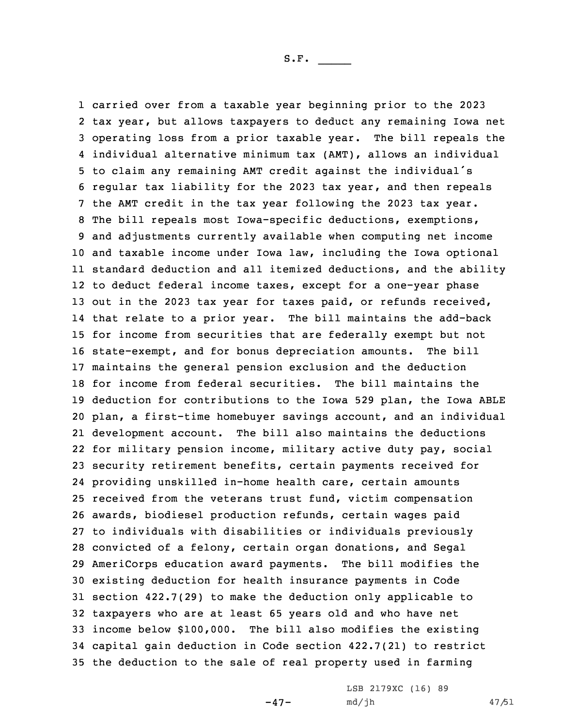carried over from <sup>a</sup> taxable year beginning prior to the 2023 tax year, but allows taxpayers to deduct any remaining Iowa net operating loss from <sup>a</sup> prior taxable year. The bill repeals the individual alternative minimum tax (AMT), allows an individual to claim any remaining AMT credit against the individual's regular tax liability for the 2023 tax year, and then repeals the AMT credit in the tax year following the 2023 tax year. The bill repeals most Iowa-specific deductions, exemptions, and adjustments currently available when computing net income and taxable income under Iowa law, including the Iowa optional standard deduction and all itemized deductions, and the ability to deduct federal income taxes, except for <sup>a</sup> one-year phase 13 out in the 2023 tax year for taxes paid, or refunds received, that relate to <sup>a</sup> prior year. The bill maintains the add-back for income from securities that are federally exempt but not state-exempt, and for bonus depreciation amounts. The bill maintains the general pension exclusion and the deduction for income from federal securities. The bill maintains the deduction for contributions to the Iowa 529 plan, the Iowa ABLE plan, <sup>a</sup> first-time homebuyer savings account, and an individual development account. The bill also maintains the deductions for military pension income, military active duty pay, social security retirement benefits, certain payments received for providing unskilled in-home health care, certain amounts received from the veterans trust fund, victim compensation awards, biodiesel production refunds, certain wages paid to individuals with disabilities or individuals previously convicted of <sup>a</sup> felony, certain organ donations, and Segal AmeriCorps education award payments. The bill modifies the existing deduction for health insurance payments in Code section 422.7(29) to make the deduction only applicable to taxpayers who are at least 65 years old and who have net income below \$100,000. The bill also modifies the existing capital gain deduction in Code section 422.7(21) to restrict the deduction to the sale of real property used in farming

 $-47-$ 

LSB 2179XC (16) 89 md/jh 47/51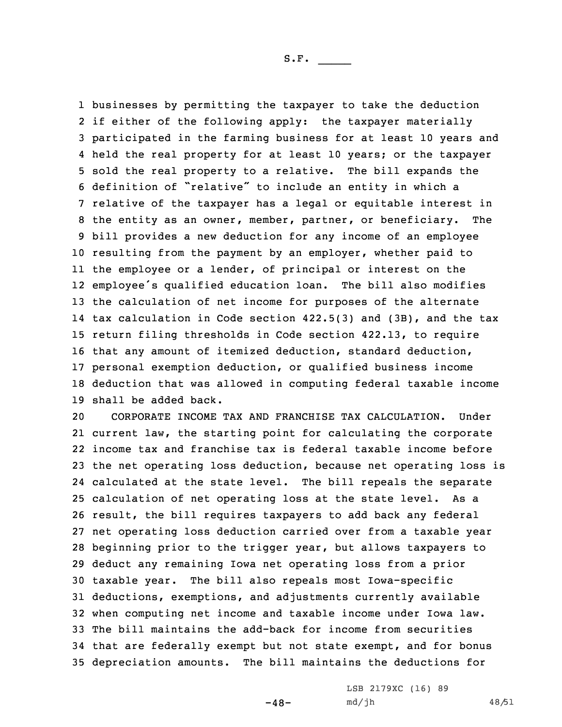businesses by permitting the taxpayer to take the deduction if either of the following apply: the taxpayer materially participated in the farming business for at least 10 years and held the real property for at least 10 years; or the taxpayer sold the real property to <sup>a</sup> relative. The bill expands the definition of "relative" to include an entity in which <sup>a</sup> relative of the taxpayer has <sup>a</sup> legal or equitable interest in the entity as an owner, member, partner, or beneficiary. The bill provides <sup>a</sup> new deduction for any income of an employee resulting from the payment by an employer, whether paid to the employee or <sup>a</sup> lender, of principal or interest on the employee's qualified education loan. The bill also modifies the calculation of net income for purposes of the alternate tax calculation in Code section 422.5(3) and (3B), and the tax return filing thresholds in Code section 422.13, to require that any amount of itemized deduction, standard deduction, personal exemption deduction, or qualified business income deduction that was allowed in computing federal taxable income shall be added back.

 CORPORATE INCOME TAX AND FRANCHISE TAX CALCULATION. Under current law, the starting point for calculating the corporate income tax and franchise tax is federal taxable income before the net operating loss deduction, because net operating loss is calculated at the state level. The bill repeals the separate calculation of net operating loss at the state level. As <sup>a</sup> result, the bill requires taxpayers to add back any federal net operating loss deduction carried over from <sup>a</sup> taxable year beginning prior to the trigger year, but allows taxpayers to deduct any remaining Iowa net operating loss from <sup>a</sup> prior taxable year. The bill also repeals most Iowa-specific deductions, exemptions, and adjustments currently available when computing net income and taxable income under Iowa law. The bill maintains the add-back for income from securities that are federally exempt but not state exempt, and for bonus depreciation amounts. The bill maintains the deductions for

 $-48-$ 

LSB 2179XC (16) 89 md/jh 48/51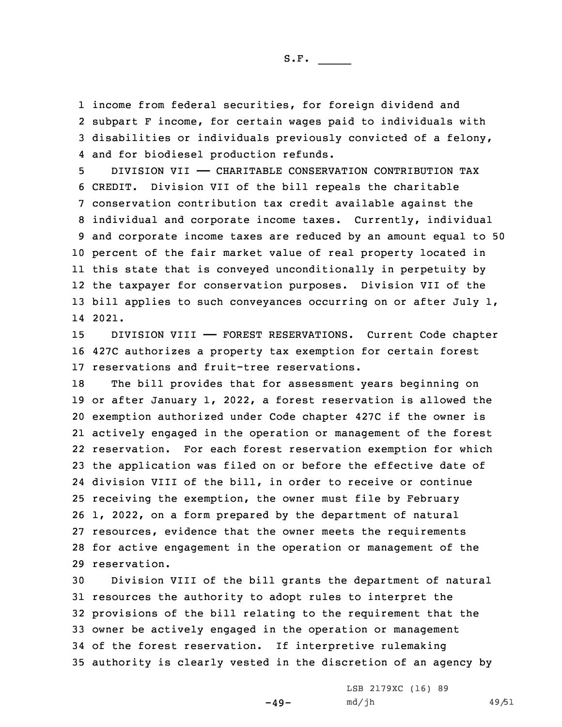income from federal securities, for foreign dividend and subpart <sup>F</sup> income, for certain wages paid to individuals with disabilities or individuals previously convicted of <sup>a</sup> felony, and for biodiesel production refunds.

 DIVISION VII —— CHARITABLE CONSERVATION CONTRIBUTION TAX CREDIT. Division VII of the bill repeals the charitable conservation contribution tax credit available against the individual and corporate income taxes. Currently, individual and corporate income taxes are reduced by an amount equal to 50 percent of the fair market value of real property located in this state that is conveyed unconditionally in perpetuity by the taxpayer for conservation purposes. Division VII of the 13 bill applies to such conveyances occurring on or after July 1, 14 2021.

15 DIVISION VIII —— FOREST RESERVATIONS. Current Code chapter 16 427C authorizes <sup>a</sup> property tax exemption for certain forest 17 reservations and fruit-tree reservations.

 The bill provides that for assessment years beginning on or after January 1, 2022, <sup>a</sup> forest reservation is allowed the exemption authorized under Code chapter 427C if the owner is actively engaged in the operation or management of the forest reservation. For each forest reservation exemption for which the application was filed on or before the effective date of division VIII of the bill, in order to receive or continue receiving the exemption, the owner must file by February 1, 2022, on <sup>a</sup> form prepared by the department of natural resources, evidence that the owner meets the requirements for active engagement in the operation or management of the reservation.

 Division VIII of the bill grants the department of natural resources the authority to adopt rules to interpret the provisions of the bill relating to the requirement that the owner be actively engaged in the operation or management of the forest reservation. If interpretive rulemaking authority is clearly vested in the discretion of an agency by

 $-49-$ 

LSB 2179XC (16) 89 md/jh 49/51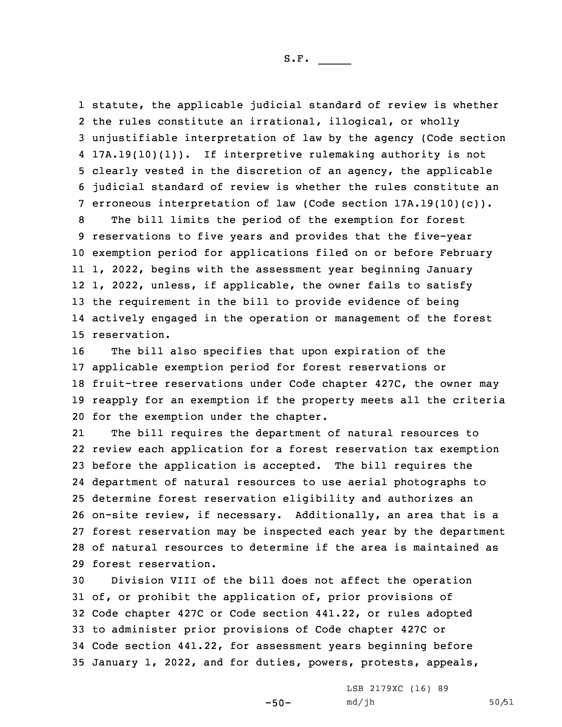statute, the applicable judicial standard of review is whether the rules constitute an irrational, illogical, or wholly unjustifiable interpretation of law by the agency (Code section 17A.19(10)(l)). If interpretive rulemaking authority is not clearly vested in the discretion of an agency, the applicable judicial standard of review is whether the rules constitute an erroneous interpretation of law (Code section 17A.19(10)(c)).

 The bill limits the period of the exemption for forest reservations to five years and provides that the five-year exemption period for applications filed on or before February 1, 2022, begins with the assessment year beginning January 1, 2022, unless, if applicable, the owner fails to satisfy the requirement in the bill to provide evidence of being actively engaged in the operation or management of the forest reservation.

 The bill also specifies that upon expiration of the applicable exemption period for forest reservations or fruit-tree reservations under Code chapter 427C, the owner may reapply for an exemption if the property meets all the criteria for the exemption under the chapter.

21 The bill requires the department of natural resources to review each application for <sup>a</sup> forest reservation tax exemption before the application is accepted. The bill requires the department of natural resources to use aerial photographs to determine forest reservation eligibility and authorizes an on-site review, if necessary. Additionally, an area that is <sup>a</sup> forest reservation may be inspected each year by the department of natural resources to determine if the area is maintained as forest reservation.

 Division VIII of the bill does not affect the operation of, or prohibit the application of, prior provisions of Code chapter 427C or Code section 441.22, or rules adopted to administer prior provisions of Code chapter 427C or Code section 441.22, for assessment years beginning before January 1, 2022, and for duties, powers, protests, appeals,

 $-50-$ 

LSB 2179XC (16) 89 md/jh 50/51